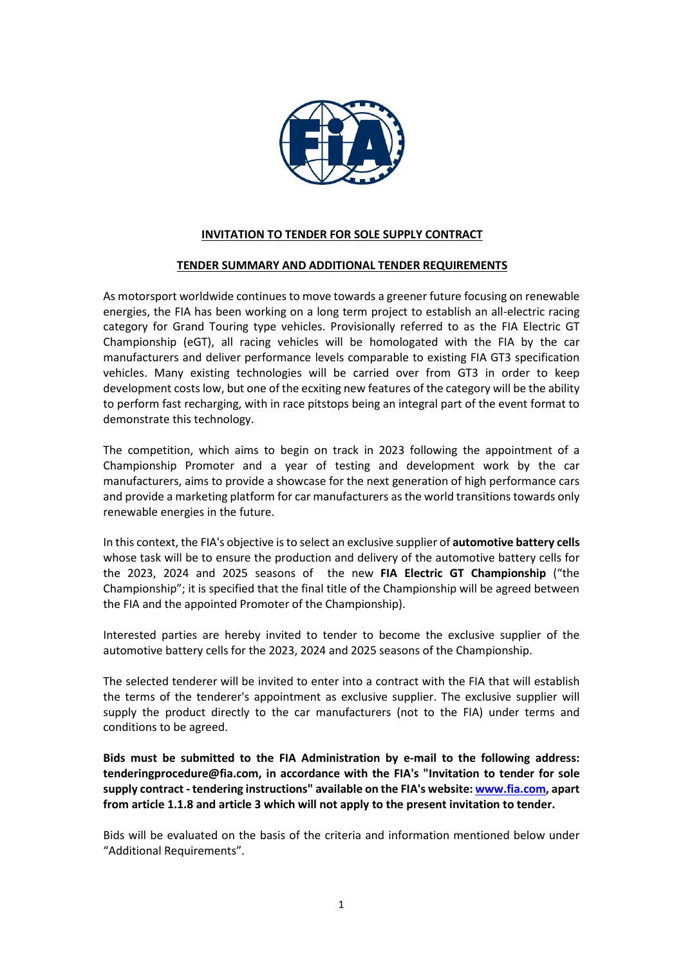

### **INVITATION TO TENDER FOR SOLE SUPPLY CONTRACT**

#### **TENDER SUMMARY AND ADDITIONAL TENDER REQUIREMENTS**

As motorsport worldwide continues to move towards a greener future focusing on renewable energies, the FIA has been working on a long term project to establish an all-electric racing category for Grand Touring type vehicles. Provisionally referred to as the FIA Electric GT Championship (eGT), all racing vehicles will be homologated with the FIA by the car manufacturers and deliver performance levels comparable to existing FIA GT3 specification vehicles. Many existing technologies will be carried over from GT3 in order to keep development costs low, but one of the ecxiting new features of the category will be the ability to perform fast recharging, with in race pitstops being an integral part of the event format to demonstrate this technology.

The competition, which aims to begin on track in 2023 following the appointment of a Championship Promoter and a year of testing and development work by the car manufacturers, aims to provide a showcase for the next generation of high performance cars and provide a marketing platform for car manufacturers as the world transitions towards only renewable energies in the future.

In this context, the FIA's objective is to select an exclusive supplier of **automotive battery cells** whose task will be to ensure the production and delivery of the automotive battery cells for the 2023, 2024 and 2025 seasons of the new **FIA Electric GT Championship** ("the Championship"; it is specified that the final title of the Championship will be agreed between the FIA and the appointed Promoter of the Championship).

Interested parties are hereby invited to tender to become the exclusive supplier of the automotive battery cells for the 2023, 2024 and 2025 seasons of the Championship.

The selected tenderer will be invited to enter into a contract with the FIA that will establish the terms of the tenderer's appointment as exclusive supplier. The exclusive supplier will supply the product directly to the car manufacturers (not to the FIA) under terms and conditions to be agreed.

**Bids must be submitted to the FIA Administration by e-mail to the following address: tenderingprocedure@fia.com, in accordance with the FIA's "Invitation to tender for sole supply contract - tendering instructions" available on the FIA's website[: www.fia.com,](http://www.fia.com/) apart from article 1.1.8 and article 3 which will not apply to the present invitation to tender.**

Bids will be evaluated on the basis of the criteria and information mentioned below under "Additional Requirements".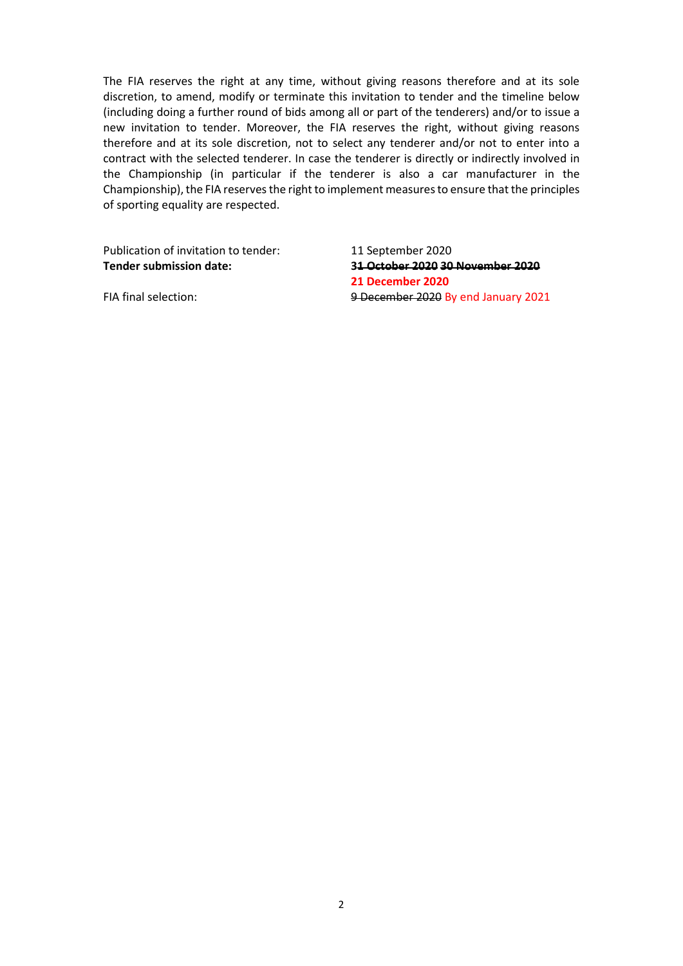The FIA reserves the right at any time, without giving reasons therefore and at its sole discretion, to amend, modify or terminate this invitation to tender and the timeline below (including doing a further round of bids among all or part of the tenderers) and/or to issue a new invitation to tender. Moreover, the FIA reserves the right, without giving reasons therefore and at its sole discretion, not to select any tenderer and/or not to enter into a contract with the selected tenderer. In case the tenderer is directly or indirectly involved in the Championship (in particular if the tenderer is also a car manufacturer in the Championship), the FIA reserves the right to implement measures to ensure that the principles of sporting equality are respected.

Publication of invitation to tender: 11 September 2020

**Tender submission date: 31 October 2020 30 November 2020 21 December 2020** FIA final selection: 9 December 2020 By end January 2021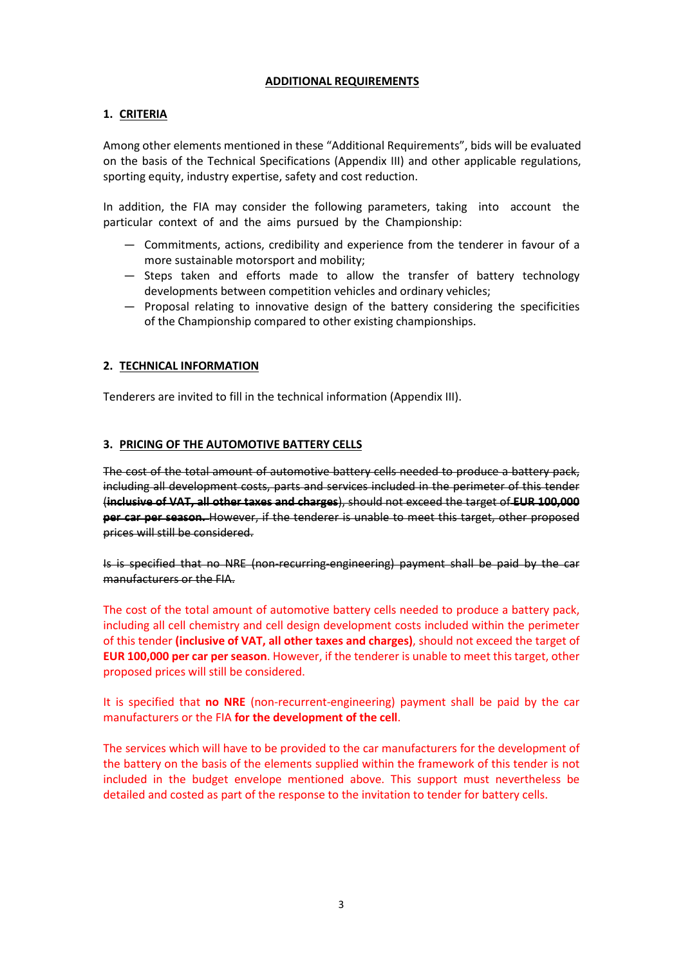#### **ADDITIONAL REQUIREMENTS**

### **1. CRITERIA**

Among other elements mentioned in these "Additional Requirements", bids will be evaluated on the basis of the Technical Specifications (Appendix III) and other applicable regulations, sporting equity, industry expertise, safety and cost reduction.

In addition, the FIA may consider the following parameters, taking into account the particular context of and the aims pursued by the Championship:

- ― Commitments, actions, credibility and experience from the tenderer in favour of a more sustainable motorsport and mobility;
- ― Steps taken and efforts made to allow the transfer of battery technology developments between competition vehicles and ordinary vehicles;
- ― Proposal relating to innovative design of the battery considering the specificities of the Championship compared to other existing championships.

### **2. TECHNICAL INFORMATION**

Tenderers are invited to fill in the technical information (Appendix III).

### **3. PRICING OF THE AUTOMOTIVE BATTERY CELLS**

The cost of the total amount of automotive battery cells needed to produce a battery pack, including all development costs, parts and services included in the perimeter of this tender (**inclusive of VAT, all other taxes and charges**), should not exceed the target of **EUR 100,000 per car per season.** However, if the tenderer is unable to meet this target, other proposed prices will still be considered.

Is is specified that no NRE (non-recurring-engineering) payment shall be paid by the car manufacturers or the FIA.

The cost of the total amount of automotive battery cells needed to produce a battery pack, including all cell chemistry and cell design development costs included within the perimeter of this tender **(inclusive of VAT, all other taxes and charges)**, should not exceed the target of **EUR 100,000 per car per season**. However, if the tenderer is unable to meet this target, other proposed prices will still be considered.

It is specified that **no NRE** (non-recurrent-engineering) payment shall be paid by the car manufacturers or the FIA **for the development of the cell**.

The services which will have to be provided to the car manufacturers for the development of the battery on the basis of the elements supplied within the framework of this tender is not included in the budget envelope mentioned above. This support must nevertheless be detailed and costed as part of the response to the invitation to tender for battery cells.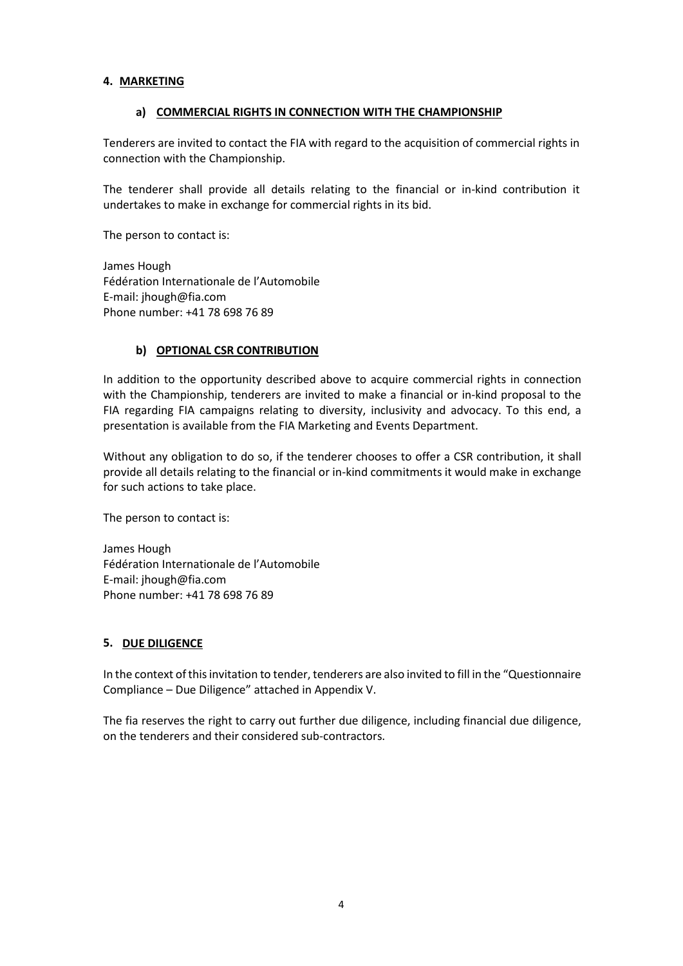#### **4. MARKETING**

#### **a) COMMERCIAL RIGHTS IN CONNECTION WITH THE CHAMPIONSHIP**

Tenderers are invited to contact the FIA with regard to the acquisition of commercial rights in connection with the Championship.

The tenderer shall provide all details relating to the financial or in-kind contribution it undertakes to make in exchange for commercial rights in its bid.

The person to contact is:

James Hough Fédération Internationale de l'Automobile E-mail: jhough@fia.com Phone number: +41 78 698 76 89

### **b) OPTIONAL CSR CONTRIBUTION**

In addition to the opportunity described above to acquire commercial rights in connection with the Championship, tenderers are invited to make a financial or in-kind proposal to the FIA regarding FIA campaigns relating to diversity, inclusivity and advocacy. To this end, a presentation is available from the FIA Marketing and Events Department.

Without any obligation to do so, if the tenderer chooses to offer a CSR contribution, it shall provide all details relating to the financial or in-kind commitments it would make in exchange for such actions to take place.

The person to contact is:

James Hough Fédération Internationale de l'Automobile E-mail: jhough@fia.com Phone number: +41 78 698 76 89

#### **5. DUE DILIGENCE**

In the context of this invitation to tender, tenderers are also invited to fill in the "Questionnaire Compliance – Due Diligence" attached in Appendix V.

The fia reserves the right to carry out further due diligence, including financial due diligence, on the tenderers and their considered sub-contractors.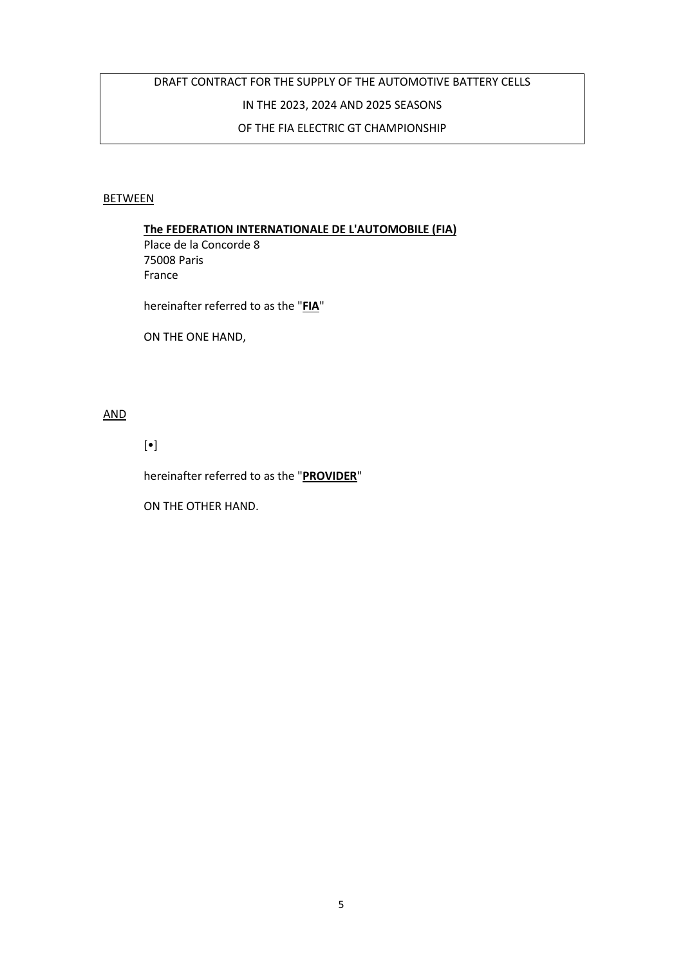# DRAFT CONTRACT FOR THE SUPPLY OF THE AUTOMOTIVE BATTERY CELLS IN THE 2023, 2024 AND 2025 SEASONS OF THE FIA ELECTRIC GT CHAMPIONSHIP

### **BETWEEN**

#### **The FEDERATION INTERNATIONALE DE L'AUTOMOBILE (FIA)**

Place de la Concorde 8 75008 Paris France

hereinafter referred to as the "**FIA**"

ON THE ONE HAND,

AND

[•]

hereinafter referred to as the "**PROVIDER**"

ON THE OTHER HAND.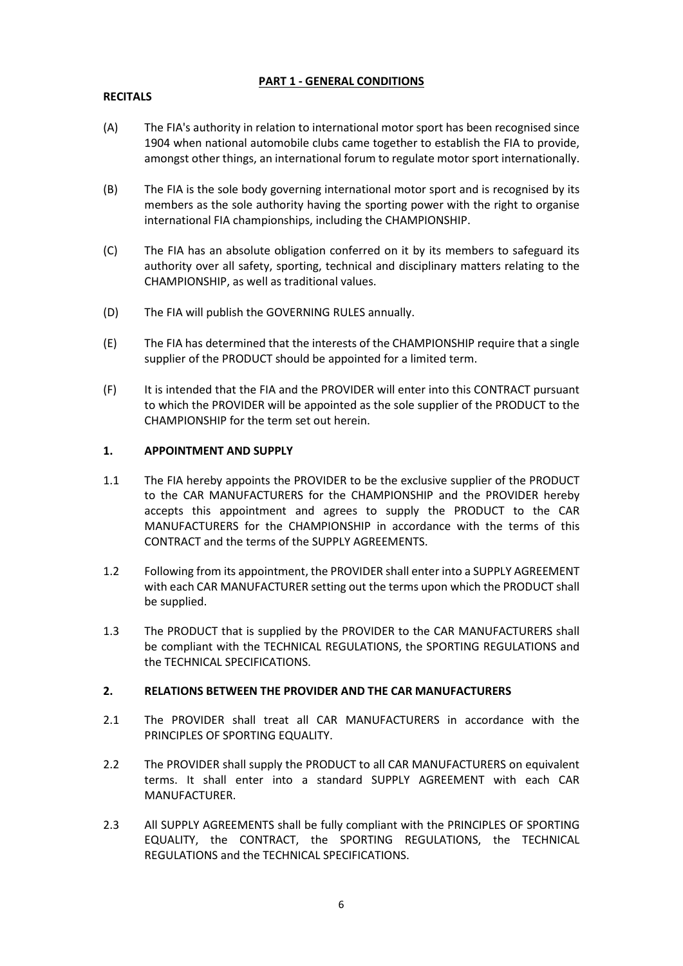### **PART 1 - GENERAL CONDITIONS**

### **RECITALS**

- (A) The FIA's authority in relation to international motor sport has been recognised since 1904 when national automobile clubs came together to establish the FIA to provide, amongst other things, an international forum to regulate motor sport internationally.
- (B) The FIA is the sole body governing international motor sport and is recognised by its members as the sole authority having the sporting power with the right to organise international FIA championships, including the CHAMPIONSHIP.
- (C) The FIA has an absolute obligation conferred on it by its members to safeguard its authority over all safety, sporting, technical and disciplinary matters relating to the CHAMPIONSHIP, as well as traditional values.
- (D) The FIA will publish the GOVERNING RULES annually.
- (E) The FIA has determined that the interests of the CHAMPIONSHIP require that a single supplier of the PRODUCT should be appointed for a limited term.
- (F) It is intended that the FIA and the PROVIDER will enter into this CONTRACT pursuant to which the PROVIDER will be appointed as the sole supplier of the PRODUCT to the CHAMPIONSHIP for the term set out herein.

#### **1. APPOINTMENT AND SUPPLY**

- 1.1 The FIA hereby appoints the PROVIDER to be the exclusive supplier of the PRODUCT to the CAR MANUFACTURERS for the CHAMPIONSHIP and the PROVIDER hereby accepts this appointment and agrees to supply the PRODUCT to the CAR MANUFACTURERS for the CHAMPIONSHIP in accordance with the terms of this CONTRACT and the terms of the SUPPLY AGREEMENTS.
- 1.2 Following from its appointment, the PROVIDER shall enter into a SUPPLY AGREEMENT with each CAR MANUFACTURER setting out the terms upon which the PRODUCT shall be supplied.
- 1.3 The PRODUCT that is supplied by the PROVIDER to the CAR MANUFACTURERS shall be compliant with the TECHNICAL REGULATIONS, the SPORTING REGULATIONS and the TECHNICAL SPECIFICATIONS.

#### **2. RELATIONS BETWEEN THE PROVIDER AND THE CAR MANUFACTURERS**

- 2.1 The PROVIDER shall treat all CAR MANUFACTURERS in accordance with the PRINCIPLES OF SPORTING EQUALITY.
- 2.2 The PROVIDER shall supply the PRODUCT to all CAR MANUFACTURERS on equivalent terms. It shall enter into a standard SUPPLY AGREEMENT with each CAR MANUFACTURER.
- 2.3 All SUPPLY AGREEMENTS shall be fully compliant with the PRINCIPLES OF SPORTING EQUALITY, the CONTRACT, the SPORTING REGULATIONS, the TECHNICAL REGULATIONS and the TECHNICAL SPECIFICATIONS.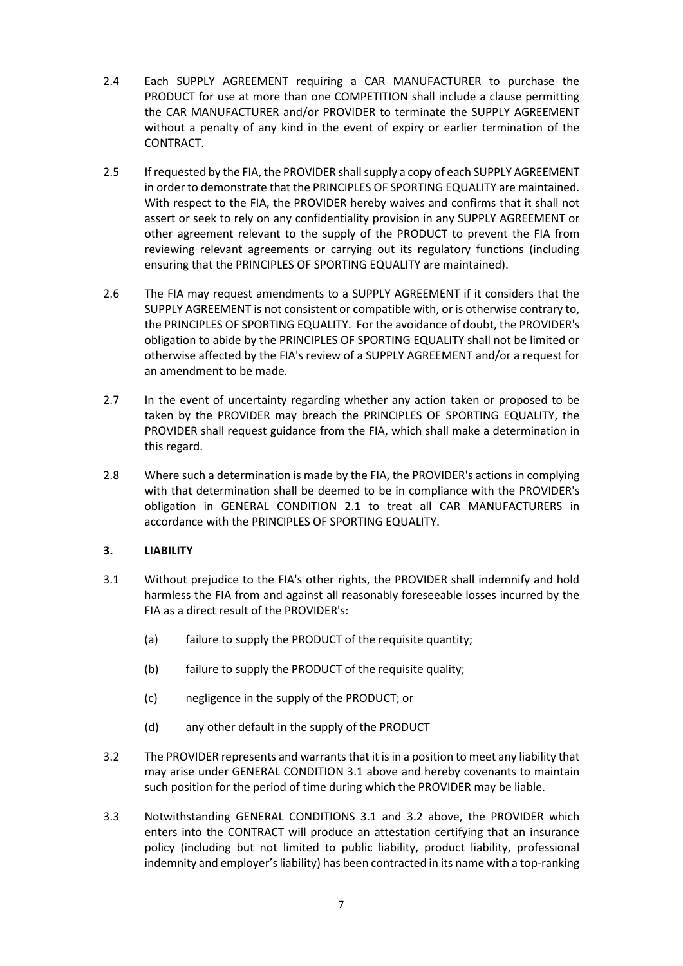- 2.4 Each SUPPLY AGREEMENT requiring a CAR MANUFACTURER to purchase the PRODUCT for use at more than one COMPETITION shall include a clause permitting the CAR MANUFACTURER and/or PROVIDER to terminate the SUPPLY AGREEMENT without a penalty of any kind in the event of expiry or earlier termination of the CONTRACT.
- 2.5 If requested by the FIA, the PROVIDER shall supply a copy of each SUPPLY AGREEMENT in order to demonstrate that the PRINCIPLES OF SPORTING EQUALITY are maintained. With respect to the FIA, the PROVIDER hereby waives and confirms that it shall not assert or seek to rely on any confidentiality provision in any SUPPLY AGREEMENT or other agreement relevant to the supply of the PRODUCT to prevent the FIA from reviewing relevant agreements or carrying out its regulatory functions (including ensuring that the PRINCIPLES OF SPORTING EQUALITY are maintained).
- 2.6 The FIA may request amendments to a SUPPLY AGREEMENT if it considers that the SUPPLY AGREEMENT is not consistent or compatible with, or is otherwise contrary to, the PRINCIPLES OF SPORTING EQUALITY. For the avoidance of doubt, the PROVIDER's obligation to abide by the PRINCIPLES OF SPORTING EQUALITY shall not be limited or otherwise affected by the FIA's review of a SUPPLY AGREEMENT and/or a request for an amendment to be made.
- 2.7 In the event of uncertainty regarding whether any action taken or proposed to be taken by the PROVIDER may breach the PRINCIPLES OF SPORTING EQUALITY, the PROVIDER shall request guidance from the FIA, which shall make a determination in this regard.
- 2.8 Where such a determination is made by the FIA, the PROVIDER's actions in complying with that determination shall be deemed to be in compliance with the PROVIDER's obligation in GENERAL CONDITION 2.1 to treat all CAR MANUFACTURERS in accordance with the PRINCIPLES OF SPORTING EQUALITY.

### **3. LIABILITY**

- 3.1 Without prejudice to the FIA's other rights, the PROVIDER shall indemnify and hold harmless the FIA from and against all reasonably foreseeable losses incurred by the FIA as a direct result of the PROVIDER's:
	- (a) failure to supply the PRODUCT of the requisite quantity;
	- (b) failure to supply the PRODUCT of the requisite quality;
	- (c) negligence in the supply of the PRODUCT; or
	- (d) any other default in the supply of the PRODUCT
- 3.2 The PROVIDER represents and warrants that it is in a position to meet any liability that may arise under GENERAL CONDITION 3.1 above and hereby covenants to maintain such position for the period of time during which the PROVIDER may be liable.
- 3.3 Notwithstanding GENERAL CONDITIONS 3.1 and 3.2 above, the PROVIDER which enters into the CONTRACT will produce an attestation certifying that an insurance policy (including but not limited to public liability, product liability, professional indemnity and employer's liability) has been contracted in its name with a top-ranking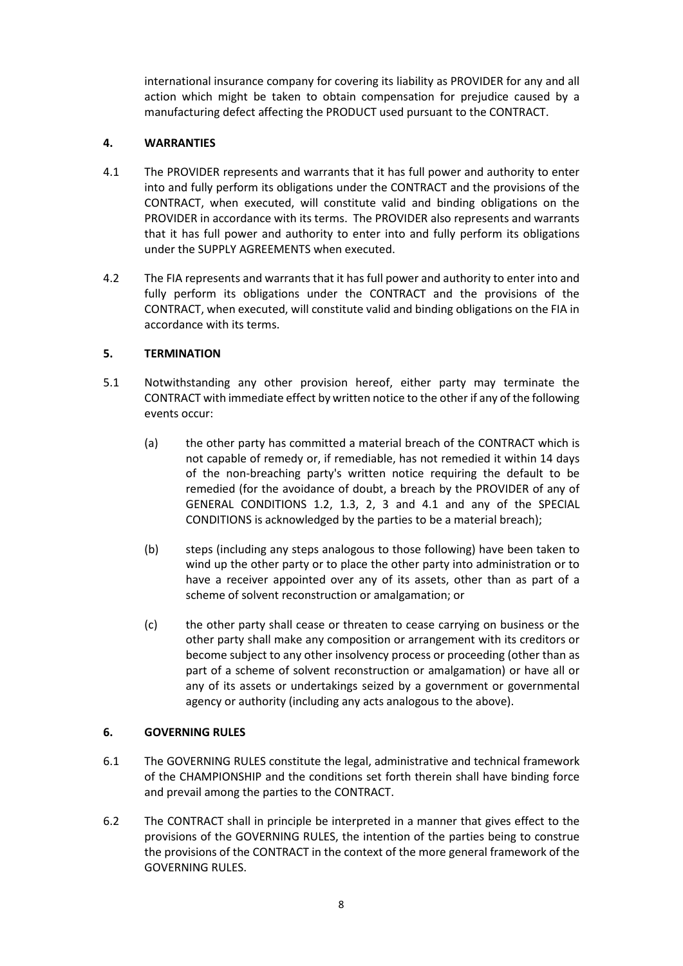international insurance company for covering its liability as PROVIDER for any and all action which might be taken to obtain compensation for prejudice caused by a manufacturing defect affecting the PRODUCT used pursuant to the CONTRACT.

### **4. WARRANTIES**

- 4.1 The PROVIDER represents and warrants that it has full power and authority to enter into and fully perform its obligations under the CONTRACT and the provisions of the CONTRACT, when executed, will constitute valid and binding obligations on the PROVIDER in accordance with its terms. The PROVIDER also represents and warrants that it has full power and authority to enter into and fully perform its obligations under the SUPPLY AGREEMENTS when executed.
- 4.2 The FIA represents and warrants that it has full power and authority to enter into and fully perform its obligations under the CONTRACT and the provisions of the CONTRACT, when executed, will constitute valid and binding obligations on the FIA in accordance with its terms.

### **5. TERMINATION**

- 5.1 Notwithstanding any other provision hereof, either party may terminate the CONTRACT with immediate effect by written notice to the other if any of the following events occur:
	- (a) the other party has committed a material breach of the CONTRACT which is not capable of remedy or, if remediable, has not remedied it within 14 days of the non-breaching party's written notice requiring the default to be remedied (for the avoidance of doubt, a breach by the PROVIDER of any of GENERAL CONDITIONS 1.2, 1.3, 2, 3 and 4.1 and any of the SPECIAL CONDITIONS is acknowledged by the parties to be a material breach);
	- (b) steps (including any steps analogous to those following) have been taken to wind up the other party or to place the other party into administration or to have a receiver appointed over any of its assets, other than as part of a scheme of solvent reconstruction or amalgamation; or
	- (c) the other party shall cease or threaten to cease carrying on business or the other party shall make any composition or arrangement with its creditors or become subject to any other insolvency process or proceeding (other than as part of a scheme of solvent reconstruction or amalgamation) or have all or any of its assets or undertakings seized by a government or governmental agency or authority (including any acts analogous to the above).

#### **6. GOVERNING RULES**

- 6.1 The GOVERNING RULES constitute the legal, administrative and technical framework of the CHAMPIONSHIP and the conditions set forth therein shall have binding force and prevail among the parties to the CONTRACT.
- 6.2 The CONTRACT shall in principle be interpreted in a manner that gives effect to the provisions of the GOVERNING RULES, the intention of the parties being to construe the provisions of the CONTRACT in the context of the more general framework of the GOVERNING RULES.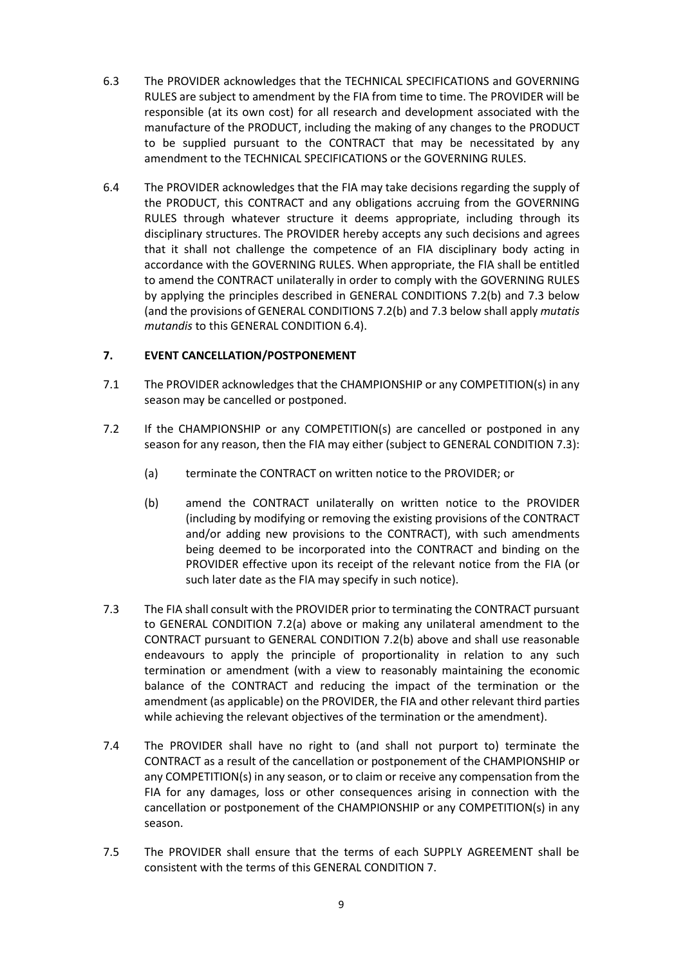- 6.3 The PROVIDER acknowledges that the TECHNICAL SPECIFICATIONS and GOVERNING RULES are subject to amendment by the FIA from time to time. The PROVIDER will be responsible (at its own cost) for all research and development associated with the manufacture of the PRODUCT, including the making of any changes to the PRODUCT to be supplied pursuant to the CONTRACT that may be necessitated by any amendment to the TECHNICAL SPECIFICATIONS or the GOVERNING RULES.
- 6.4 The PROVIDER acknowledges that the FIA may take decisions regarding the supply of the PRODUCT, this CONTRACT and any obligations accruing from the GOVERNING RULES through whatever structure it deems appropriate, including through its disciplinary structures. The PROVIDER hereby accepts any such decisions and agrees that it shall not challenge the competence of an FIA disciplinary body acting in accordance with the GOVERNING RULES. When appropriate, the FIA shall be entitled to amend the CONTRACT unilaterally in order to comply with the GOVERNING RULES by applying the principles described in GENERAL CONDITIONS 7.2(b) and 7.3 below (and the provisions of GENERAL CONDITIONS 7.2(b) and 7.3 below shall apply *mutatis mutandis* to this GENERAL CONDITION 6.4).

### **7. EVENT CANCELLATION/POSTPONEMENT**

- 7.1 The PROVIDER acknowledges that the CHAMPIONSHIP or any COMPETITION(s) in any season may be cancelled or postponed.
- 7.2 If the CHAMPIONSHIP or any COMPETITION(s) are cancelled or postponed in any season for any reason, then the FIA may either (subject to GENERAL CONDITION 7.3):
	- (a) terminate the CONTRACT on written notice to the PROVIDER; or
	- (b) amend the CONTRACT unilaterally on written notice to the PROVIDER (including by modifying or removing the existing provisions of the CONTRACT and/or adding new provisions to the CONTRACT), with such amendments being deemed to be incorporated into the CONTRACT and binding on the PROVIDER effective upon its receipt of the relevant notice from the FIA (or such later date as the FIA may specify in such notice).
- 7.3 The FIA shall consult with the PROVIDER prior to terminating the CONTRACT pursuant to GENERAL CONDITION 7.2(a) above or making any unilateral amendment to the CONTRACT pursuant to GENERAL CONDITION 7.2(b) above and shall use reasonable endeavours to apply the principle of proportionality in relation to any such termination or amendment (with a view to reasonably maintaining the economic balance of the CONTRACT and reducing the impact of the termination or the amendment (as applicable) on the PROVIDER, the FIA and other relevant third parties while achieving the relevant objectives of the termination or the amendment).
- 7.4 The PROVIDER shall have no right to (and shall not purport to) terminate the CONTRACT as a result of the cancellation or postponement of the CHAMPIONSHIP or any COMPETITION(s) in any season, or to claim or receive any compensation from the FIA for any damages, loss or other consequences arising in connection with the cancellation or postponement of the CHAMPIONSHIP or any COMPETITION(s) in any season.
- 7.5 The PROVIDER shall ensure that the terms of each SUPPLY AGREEMENT shall be consistent with the terms of this GENERAL CONDITION 7.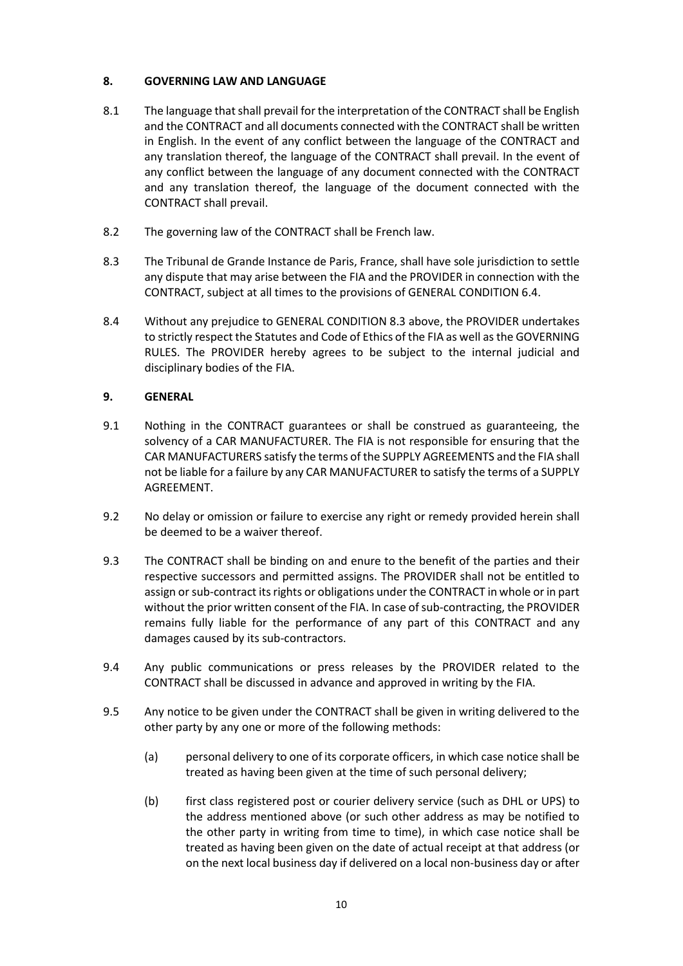### **8. GOVERNING LAW AND LANGUAGE**

- 8.1 The language that shall prevail for the interpretation of the CONTRACT shall be English and the CONTRACT and all documents connected with the CONTRACT shall be written in English. In the event of any conflict between the language of the CONTRACT and any translation thereof, the language of the CONTRACT shall prevail. In the event of any conflict between the language of any document connected with the CONTRACT and any translation thereof, the language of the document connected with the CONTRACT shall prevail.
- 8.2 The governing law of the CONTRACT shall be French law.
- 8.3 The Tribunal de Grande Instance de Paris, France, shall have sole jurisdiction to settle any dispute that may arise between the FIA and the PROVIDER in connection with the CONTRACT, subject at all times to the provisions of GENERAL CONDITION 6.4.
- 8.4 Without any prejudice to GENERAL CONDITION 8.3 above, the PROVIDER undertakes to strictly respect the Statutes and Code of Ethics of the FIA as well as the GOVERNING RULES. The PROVIDER hereby agrees to be subject to the internal judicial and disciplinary bodies of the FIA.

### **9. GENERAL**

- 9.1 Nothing in the CONTRACT guarantees or shall be construed as guaranteeing, the solvency of a CAR MANUFACTURER. The FIA is not responsible for ensuring that the CAR MANUFACTURERS satisfy the terms of the SUPPLY AGREEMENTS and the FIA shall not be liable for a failure by any CAR MANUFACTURER to satisfy the terms of a SUPPLY AGREEMENT.
- 9.2 No delay or omission or failure to exercise any right or remedy provided herein shall be deemed to be a waiver thereof.
- 9.3 The CONTRACT shall be binding on and enure to the benefit of the parties and their respective successors and permitted assigns. The PROVIDER shall not be entitled to assign or sub-contract its rights or obligations under the CONTRACT in whole or in part without the prior written consent of the FIA. In case of sub-contracting, the PROVIDER remains fully liable for the performance of any part of this CONTRACT and any damages caused by its sub-contractors.
- 9.4 Any public communications or press releases by the PROVIDER related to the CONTRACT shall be discussed in advance and approved in writing by the FIA.
- 9.5 Any notice to be given under the CONTRACT shall be given in writing delivered to the other party by any one or more of the following methods:
	- (a) personal delivery to one of its corporate officers, in which case notice shall be treated as having been given at the time of such personal delivery;
	- (b) first class registered post or courier delivery service (such as DHL or UPS) to the address mentioned above (or such other address as may be notified to the other party in writing from time to time), in which case notice shall be treated as having been given on the date of actual receipt at that address (or on the next local business day if delivered on a local non-business day or after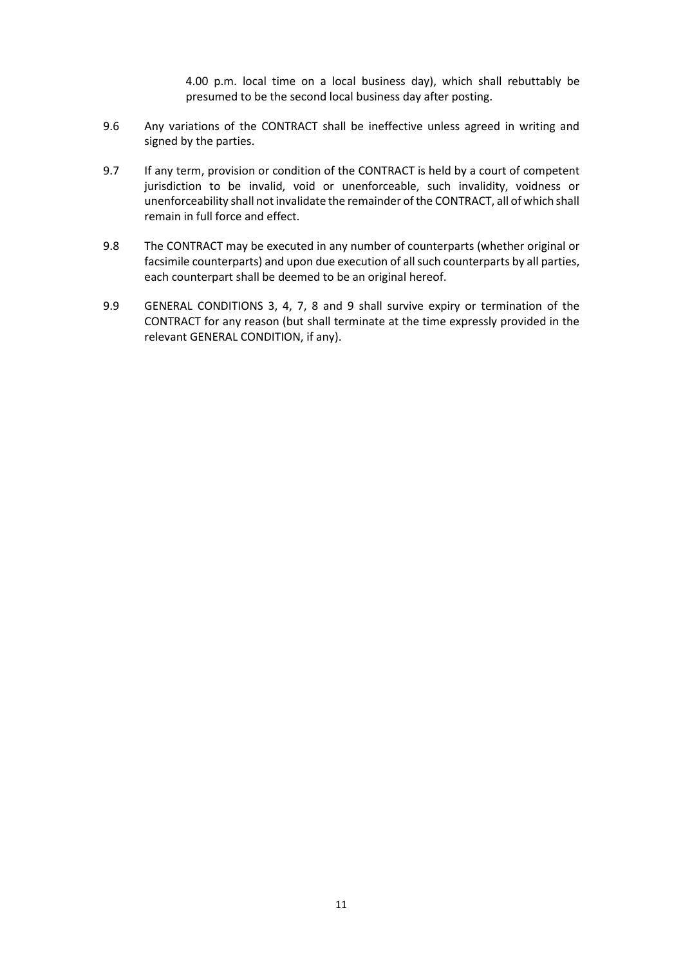4.00 p.m. local time on a local business day), which shall rebuttably be presumed to be the second local business day after posting.

- 9.6 Any variations of the CONTRACT shall be ineffective unless agreed in writing and signed by the parties.
- 9.7 If any term, provision or condition of the CONTRACT is held by a court of competent jurisdiction to be invalid, void or unenforceable, such invalidity, voidness or unenforceability shall not invalidate the remainder of the CONTRACT, all of which shall remain in full force and effect.
- 9.8 The CONTRACT may be executed in any number of counterparts (whether original or facsimile counterparts) and upon due execution of all such counterparts by all parties, each counterpart shall be deemed to be an original hereof.
- 9.9 GENERAL CONDITIONS 3, 4, 7, 8 and 9 shall survive expiry or termination of the CONTRACT for any reason (but shall terminate at the time expressly provided in the relevant GENERAL CONDITION, if any).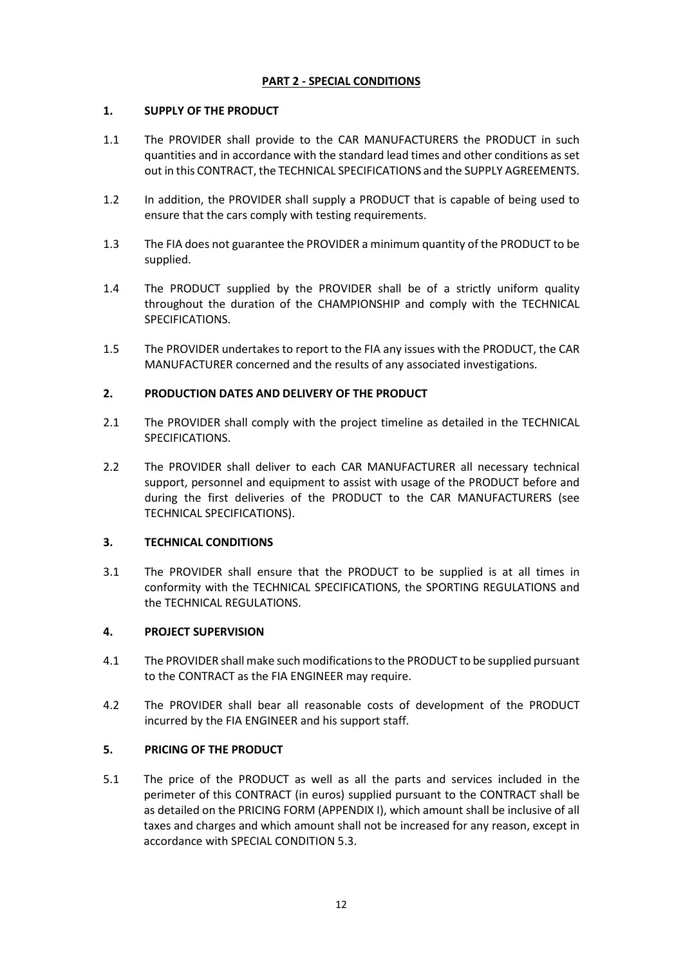### **PART 2 - SPECIAL CONDITIONS**

### **1. SUPPLY OF THE PRODUCT**

- 1.1 The PROVIDER shall provide to the CAR MANUFACTURERS the PRODUCT in such quantities and in accordance with the standard lead times and other conditions as set out in this CONTRACT, the TECHNICAL SPECIFICATIONS and the SUPPLY AGREEMENTS.
- 1.2 In addition, the PROVIDER shall supply a PRODUCT that is capable of being used to ensure that the cars comply with testing requirements.
- 1.3 The FIA does not guarantee the PROVIDER a minimum quantity of the PRODUCT to be supplied.
- 1.4 The PRODUCT supplied by the PROVIDER shall be of a strictly uniform quality throughout the duration of the CHAMPIONSHIP and comply with the TECHNICAL SPECIFICATIONS.
- 1.5 The PROVIDER undertakes to report to the FIA any issues with the PRODUCT, the CAR MANUFACTURER concerned and the results of any associated investigations.

### **2. PRODUCTION DATES AND DELIVERY OF THE PRODUCT**

- 2.1 The PROVIDER shall comply with the project timeline as detailed in the TECHNICAL SPECIFICATIONS.
- 2.2 The PROVIDER shall deliver to each CAR MANUFACTURER all necessary technical support, personnel and equipment to assist with usage of the PRODUCT before and during the first deliveries of the PRODUCT to the CAR MANUFACTURERS (see TECHNICAL SPECIFICATIONS).

#### **3. TECHNICAL CONDITIONS**

3.1 The PROVIDER shall ensure that the PRODUCT to be supplied is at all times in conformity with the TECHNICAL SPECIFICATIONS, the SPORTING REGULATIONS and the TECHNICAL REGULATIONS.

#### **4. PROJECT SUPERVISION**

- 4.1 The PROVIDER shall make such modifications to the PRODUCT to be supplied pursuant to the CONTRACT as the FIA ENGINEER may require.
- 4.2 The PROVIDER shall bear all reasonable costs of development of the PRODUCT incurred by the FIA ENGINEER and his support staff.

#### **5. PRICING OF THE PRODUCT**

5.1 The price of the PRODUCT as well as all the parts and services included in the perimeter of this CONTRACT (in euros) supplied pursuant to the CONTRACT shall be as detailed on the PRICING FORM (APPENDIX I), which amount shall be inclusive of all taxes and charges and which amount shall not be increased for any reason, except in accordance with SPECIAL CONDITION 5.3.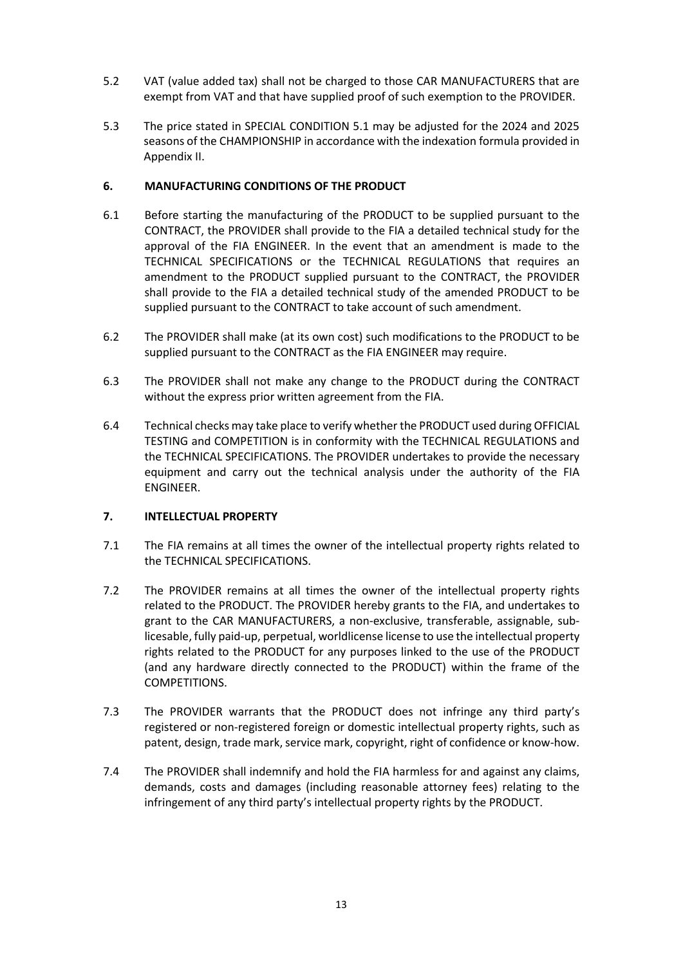- 5.2 VAT (value added tax) shall not be charged to those CAR MANUFACTURERS that are exempt from VAT and that have supplied proof of such exemption to the PROVIDER.
- 5.3 The price stated in SPECIAL CONDITION 5.1 may be adjusted for the 2024 and 2025 seasons of the CHAMPIONSHIP in accordance with the indexation formula provided in Appendix II.

#### **6. MANUFACTURING CONDITIONS OF THE PRODUCT**

- 6.1 Before starting the manufacturing of the PRODUCT to be supplied pursuant to the CONTRACT, the PROVIDER shall provide to the FIA a detailed technical study for the approval of the FIA ENGINEER. In the event that an amendment is made to the TECHNICAL SPECIFICATIONS or the TECHNICAL REGULATIONS that requires an amendment to the PRODUCT supplied pursuant to the CONTRACT, the PROVIDER shall provide to the FIA a detailed technical study of the amended PRODUCT to be supplied pursuant to the CONTRACT to take account of such amendment.
- 6.2 The PROVIDER shall make (at its own cost) such modifications to the PRODUCT to be supplied pursuant to the CONTRACT as the FIA ENGINEER may require.
- 6.3 The PROVIDER shall not make any change to the PRODUCT during the CONTRACT without the express prior written agreement from the FIA.
- 6.4 Technical checks may take place to verify whether the PRODUCT used during OFFICIAL TESTING and COMPETITION is in conformity with the TECHNICAL REGULATIONS and the TECHNICAL SPECIFICATIONS. The PROVIDER undertakes to provide the necessary equipment and carry out the technical analysis under the authority of the FIA ENGINEER.

#### **7. INTELLECTUAL PROPERTY**

- 7.1 The FIA remains at all times the owner of the intellectual property rights related to the TECHNICAL SPECIFICATIONS.
- 7.2 The PROVIDER remains at all times the owner of the intellectual property rights related to the PRODUCT. The PROVIDER hereby grants to the FIA, and undertakes to grant to the CAR MANUFACTURERS, a non-exclusive, transferable, assignable, sublicesable, fully paid-up, perpetual, worldlicense license to use the intellectual property rights related to the PRODUCT for any purposes linked to the use of the PRODUCT (and any hardware directly connected to the PRODUCT) within the frame of the COMPETITIONS.
- 7.3 The PROVIDER warrants that the PRODUCT does not infringe any third party's registered or non-registered foreign or domestic intellectual property rights, such as patent, design, trade mark, service mark, copyright, right of confidence or know-how.
- 7.4 The PROVIDER shall indemnify and hold the FIA harmless for and against any claims, demands, costs and damages (including reasonable attorney fees) relating to the infringement of any third party's intellectual property rights by the PRODUCT.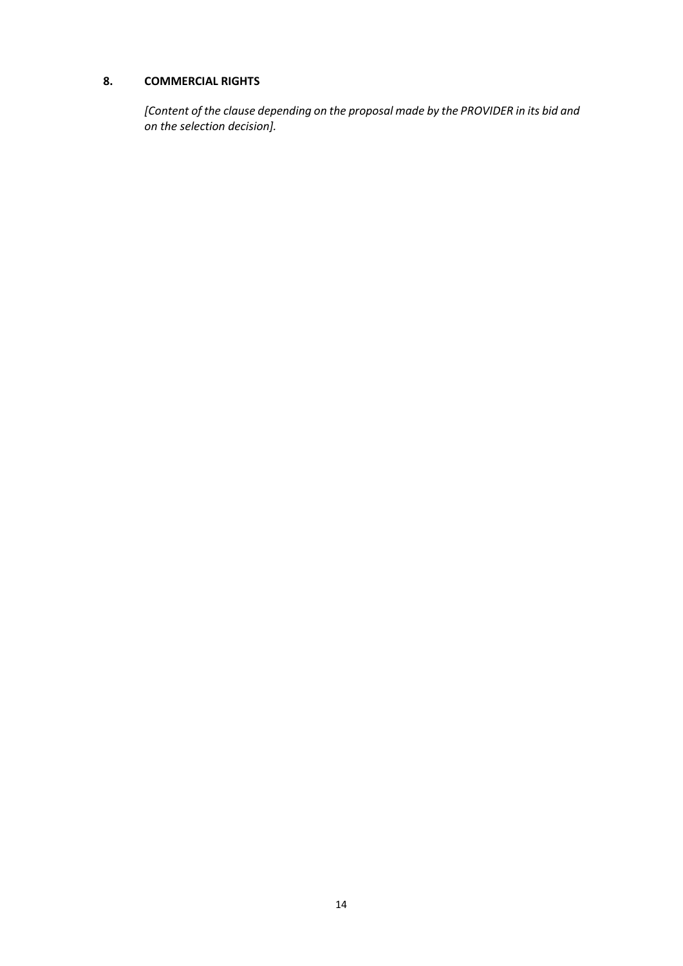### **8. COMMERCIAL RIGHTS**

*[Content of the clause depending on the proposal made by the PROVIDER in its bid and on the selection decision].*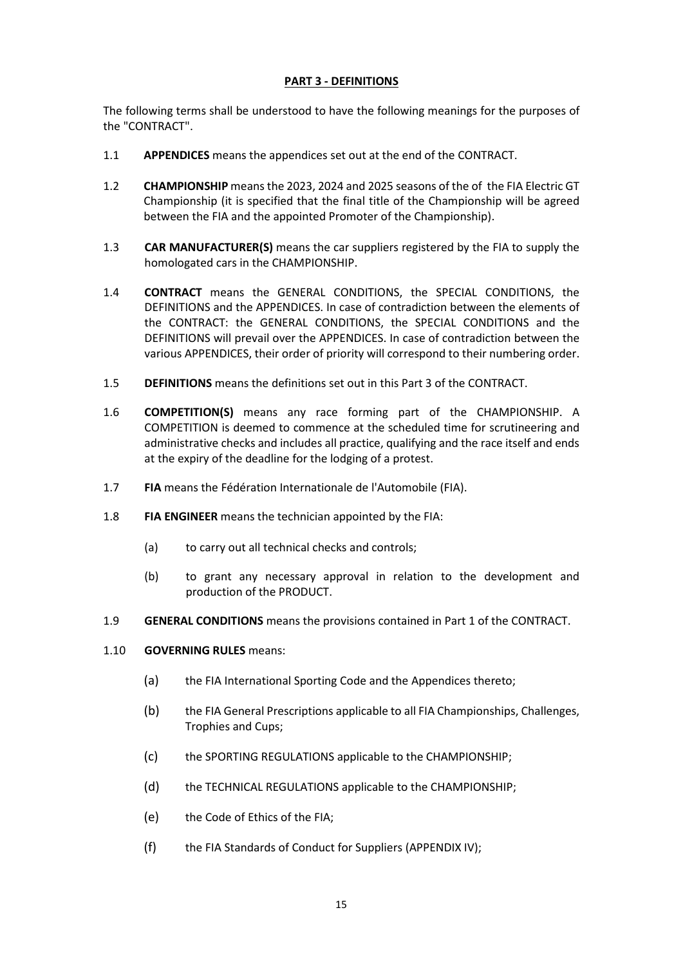### **PART 3 - DEFINITIONS**

The following terms shall be understood to have the following meanings for the purposes of the "CONTRACT".

- 1.1 **APPENDICES** means the appendices set out at the end of the CONTRACT.
- 1.2 **CHAMPIONSHIP** means the 2023, 2024 and 2025 seasons of the of the FIA Electric GT Championship (it is specified that the final title of the Championship will be agreed between the FIA and the appointed Promoter of the Championship).
- 1.3 **CAR MANUFACTURER(S)** means the car suppliers registered by the FIA to supply the homologated cars in the CHAMPIONSHIP.
- 1.4 **CONTRACT** means the GENERAL CONDITIONS, the SPECIAL CONDITIONS, the DEFINITIONS and the APPENDICES. In case of contradiction between the elements of the CONTRACT: the GENERAL CONDITIONS, the SPECIAL CONDITIONS and the DEFINITIONS will prevail over the APPENDICES. In case of contradiction between the various APPENDICES, their order of priority will correspond to their numbering order.
- 1.5 **DEFINITIONS** means the definitions set out in this Part 3 of the CONTRACT.
- 1.6 **COMPETITION(S)** means any race forming part of the CHAMPIONSHIP. A COMPETITION is deemed to commence at the scheduled time for scrutineering and administrative checks and includes all practice, qualifying and the race itself and ends at the expiry of the deadline for the lodging of a protest.
- 1.7 **FIA** means the Fédération Internationale de l'Automobile (FIA).
- 1.8 **FIA ENGINEER** means the technician appointed by the FIA:
	- (a) to carry out all technical checks and controls:
	- (b) to grant any necessary approval in relation to the development and production of the PRODUCT.
- 1.9 **GENERAL CONDITIONS** means the provisions contained in Part 1 of the CONTRACT.

#### 1.10 **GOVERNING RULES** means:

- (a) the FIA International Sporting Code and the Appendices thereto;
- (b) the FIA General Prescriptions applicable to all FIA Championships, Challenges, Trophies and Cups;
- (c) the SPORTING REGULATIONS applicable to the CHAMPIONSHIP;
- (d) the TECHNICAL REGULATIONS applicable to the CHAMPIONSHIP;
- (e) the Code of Ethics of the FIA;
- (f) the FIA Standards of Conduct for Suppliers (APPENDIX IV);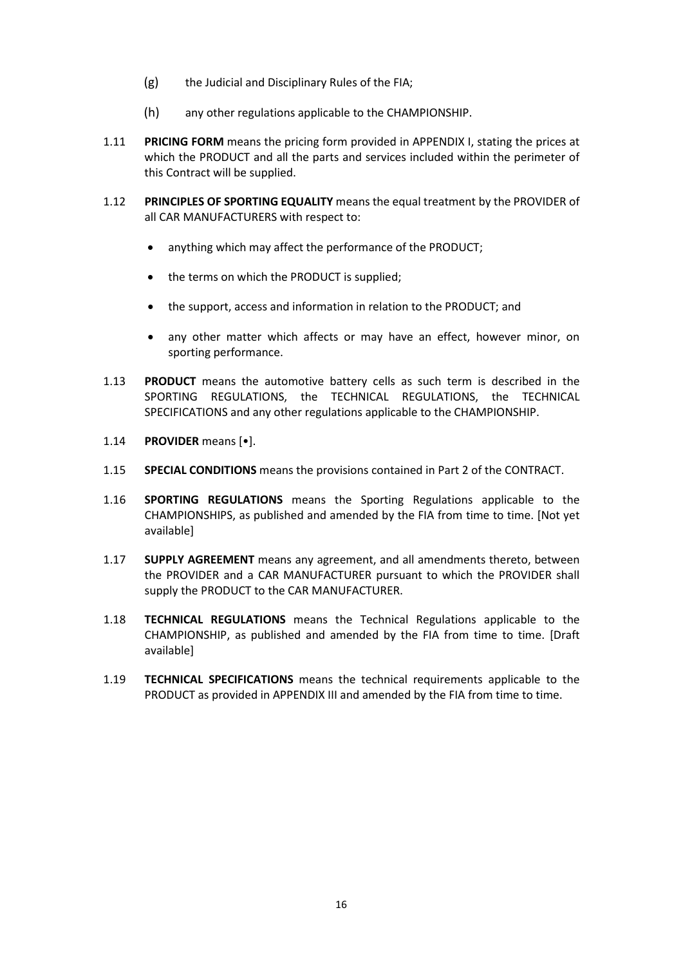- (g) the Judicial and Disciplinary Rules of the FIA;
- (h) any other regulations applicable to the CHAMPIONSHIP.
- 1.11 **PRICING FORM** means the pricing form provided in APPENDIX I, stating the prices at which the PRODUCT and all the parts and services included within the perimeter of this Contract will be supplied.
- 1.12 **PRINCIPLES OF SPORTING EQUALITY** means the equal treatment by the PROVIDER of all CAR MANUFACTURERS with respect to:
	- anything which may affect the performance of the PRODUCT;
	- the terms on which the PRODUCT is supplied;
	- the support, access and information in relation to the PRODUCT; and
	- any other matter which affects or may have an effect, however minor, on sporting performance.
- 1.13 **PRODUCT** means the automotive battery cells as such term is described in the SPORTING REGULATIONS, the TECHNICAL REGULATIONS, the TECHNICAL SPECIFICATIONS and any other regulations applicable to the CHAMPIONSHIP.
- 1.14 **PROVIDER** means [•].
- 1.15 **SPECIAL CONDITIONS** means the provisions contained in Part 2 of the CONTRACT.
- 1.16 **SPORTING REGULATIONS** means the Sporting Regulations applicable to the CHAMPIONSHIPS, as published and amended by the FIA from time to time. [Not yet available]
- 1.17 **SUPPLY AGREEMENT** means any agreement, and all amendments thereto, between the PROVIDER and a CAR MANUFACTURER pursuant to which the PROVIDER shall supply the PRODUCT to the CAR MANUFACTURER.
- 1.18 **TECHNICAL REGULATIONS** means the Technical Regulations applicable to the CHAMPIONSHIP, as published and amended by the FIA from time to time. [Draft available]
- 1.19 **TECHNICAL SPECIFICATIONS** means the technical requirements applicable to the PRODUCT as provided in APPENDIX III and amended by the FIA from time to time.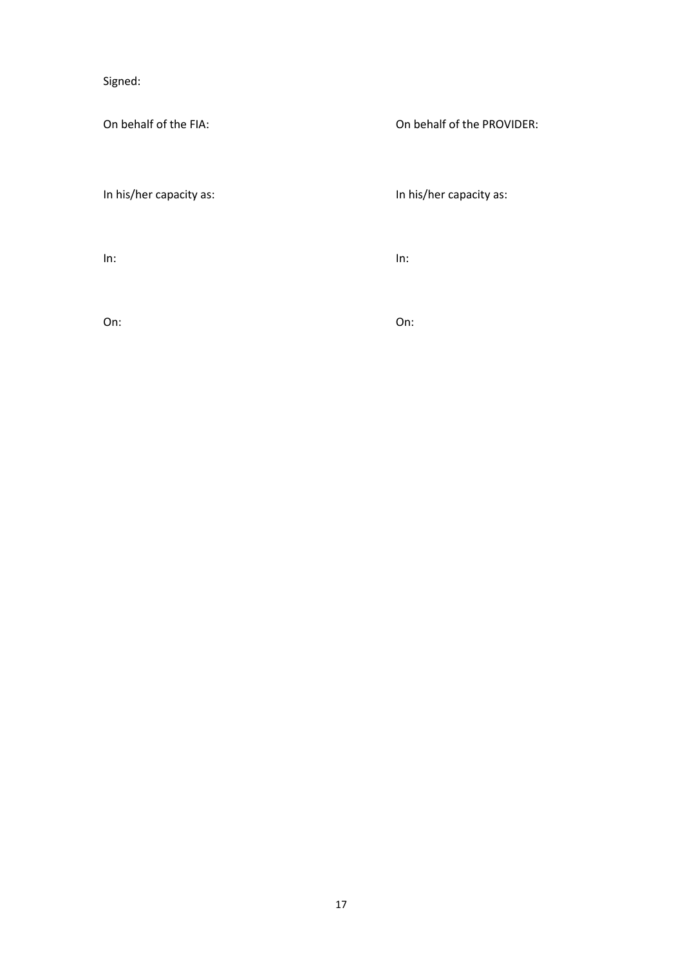Signed:

On behalf of the FIA: On behalf of the PROVIDER:

In his/her capacity as: In his/her capacity as:

In: In:

On: On: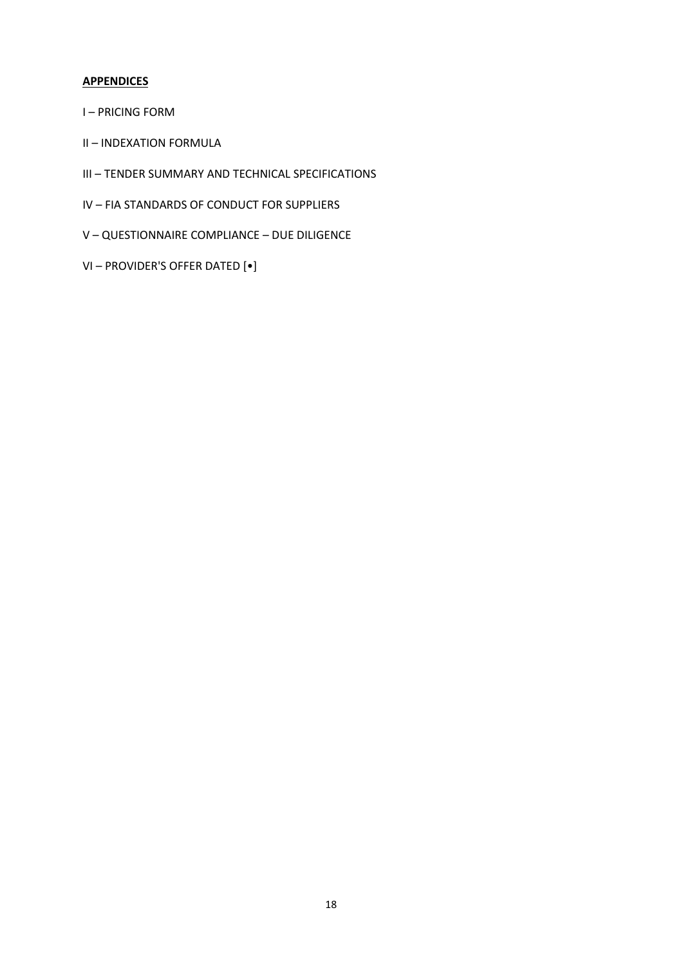### **APPENDICES**

- I PRICING FORM
- II INDEXATION FORMULA
- III TENDER SUMMARY AND TECHNICAL SPECIFICATIONS
- IV FIA STANDARDS OF CONDUCT FOR SUPPLIERS
- V QUESTIONNAIRE COMPLIANCE DUE DILIGENCE
- VI PROVIDER'S OFFER DATED [•]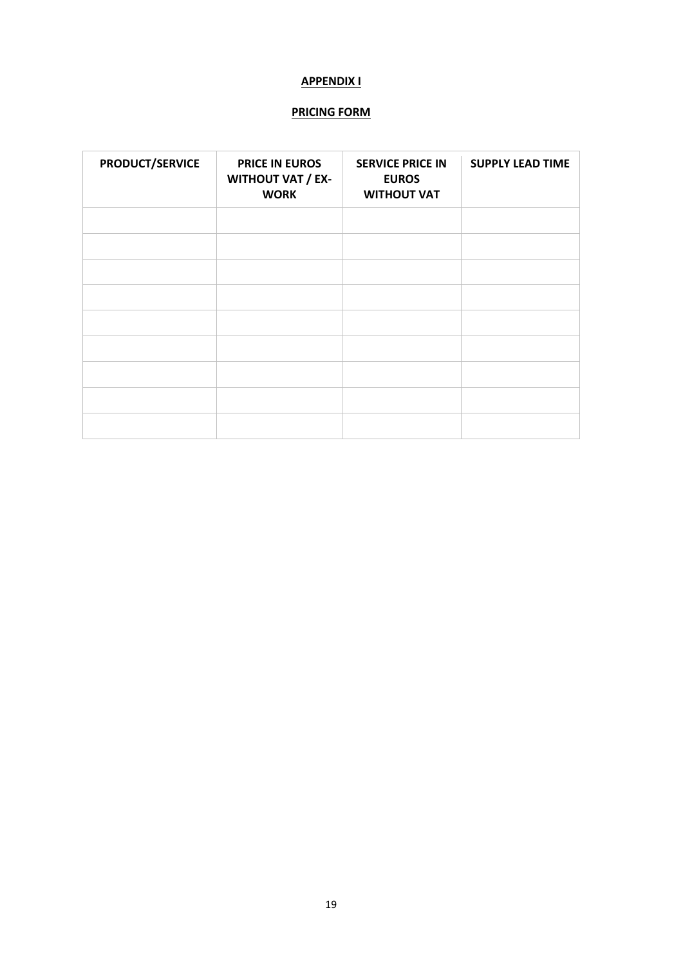### **APPENDIX I**

### **PRICING FORM**

| <b>PRODUCT/SERVICE</b> | <b>PRICE IN EUROS</b><br><b>WITHOUT VAT / EX-</b><br><b>WORK</b> | <b>SERVICE PRICE IN</b><br><b>EUROS</b><br><b>WITHOUT VAT</b> | <b>SUPPLY LEAD TIME</b> |
|------------------------|------------------------------------------------------------------|---------------------------------------------------------------|-------------------------|
|                        |                                                                  |                                                               |                         |
|                        |                                                                  |                                                               |                         |
|                        |                                                                  |                                                               |                         |
|                        |                                                                  |                                                               |                         |
|                        |                                                                  |                                                               |                         |
|                        |                                                                  |                                                               |                         |
|                        |                                                                  |                                                               |                         |
|                        |                                                                  |                                                               |                         |
|                        |                                                                  |                                                               |                         |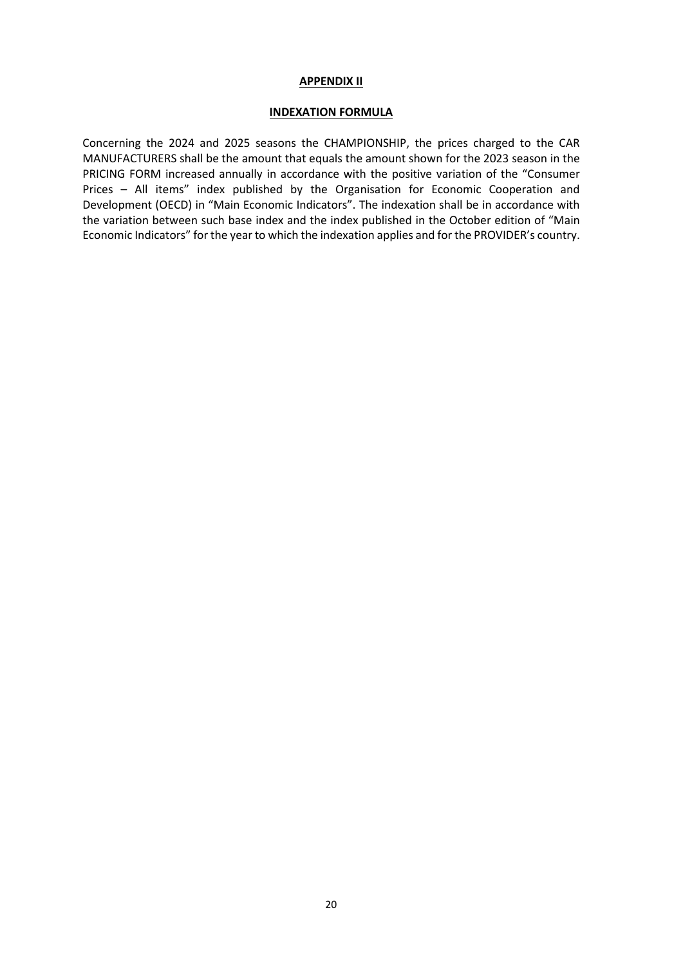#### **APPENDIX II**

#### **INDEXATION FORMULA**

Concerning the 2024 and 2025 seasons the CHAMPIONSHIP, the prices charged to the CAR MANUFACTURERS shall be the amount that equals the amount shown for the 2023 season in the PRICING FORM increased annually in accordance with the positive variation of the "Consumer Prices – All items" index published by the Organisation for Economic Cooperation and Development (OECD) in "Main Economic Indicators". The indexation shall be in accordance with the variation between such base index and the index published in the October edition of "Main Economic Indicators" for the year to which the indexation applies and for the PROVIDER's country.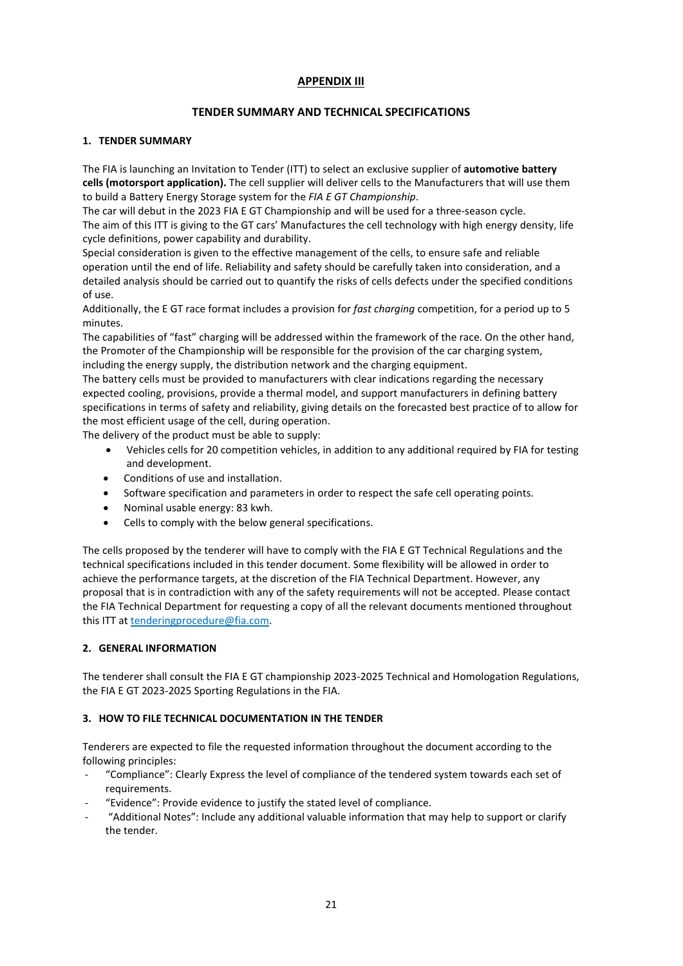### **APPENDIX III**

#### **TENDER SUMMARY AND TECHNICAL SPECIFICATIONS**

#### **1. TENDER SUMMARY**

The FIA is launching an Invitation to Tender (ITT) to select an exclusive supplier of **automotive battery cells (motorsport application).** The cell supplier will deliver cells to the Manufacturers that will use them to build a Battery Energy Storage system for the *FIA E GT Championship*.

The car will debut in the 2023 FIA E GT Championship and will be used for a three-season cycle. The aim of this ITT is giving to the GT cars' Manufactures the cell technology with high energy density, life cycle definitions, power capability and durability.

Special consideration is given to the effective management of the cells, to ensure safe and reliable operation until the end of life. Reliability and safety should be carefully taken into consideration, and a detailed analysis should be carried out to quantify the risks of cells defects under the specified conditions of use.

Additionally, the E GT race format includes a provision for *fast charging* competition, for a period up to 5 minutes.

The capabilities of "fast" charging will be addressed within the framework of the race. On the other hand, the Promoter of the Championship will be responsible for the provision of the car charging system, including the energy supply, the distribution network and the charging equipment.

The battery cells must be provided to manufacturers with clear indications regarding the necessary expected cooling, provisions, provide a thermal model, and support manufacturers in defining battery specifications in terms of safety and reliability, giving details on the forecasted best practice of to allow for the most efficient usage of the cell, during operation.

The delivery of the product must be able to supply:

- Vehicles cells for 20 competition vehicles, in addition to any additional required by FIA for testing and development.
- Conditions of use and installation.
- Software specification and parameters in order to respect the safe cell operating points.
- Nominal usable energy: 83 kwh.
- Cells to comply with the below general specifications.

The cells proposed by the tenderer will have to comply with the FIA E GT Technical Regulations and the technical specifications included in this tender document. Some flexibility will be allowed in order to achieve the performance targets, at the discretion of the FIA Technical Department. However, any proposal that is in contradiction with any of the safety requirements will not be accepted. Please contact the FIA Technical Department for requesting a copy of all the relevant documents mentioned throughout this ITT at tenderingprocedure@fia.com.

#### **2. GENERAL INFORMATION**

The tenderer shall consult the FIA E GT championship 2023-2025 Technical and Homologation Regulations, the FIA E GT 2023-2025 Sporting Regulations in the FIA.

#### **3. HOW TO FILE TECHNICAL DOCUMENTATION IN THE TENDER**

Tenderers are expected to file the requested information throughout the document according to the following principles:

- "Compliance": Clearly Express the level of compliance of the tendered system towards each set of requirements.
- "Evidence": Provide evidence to justify the stated level of compliance.
- "Additional Notes": Include any additional valuable information that may help to support or clarify the tender.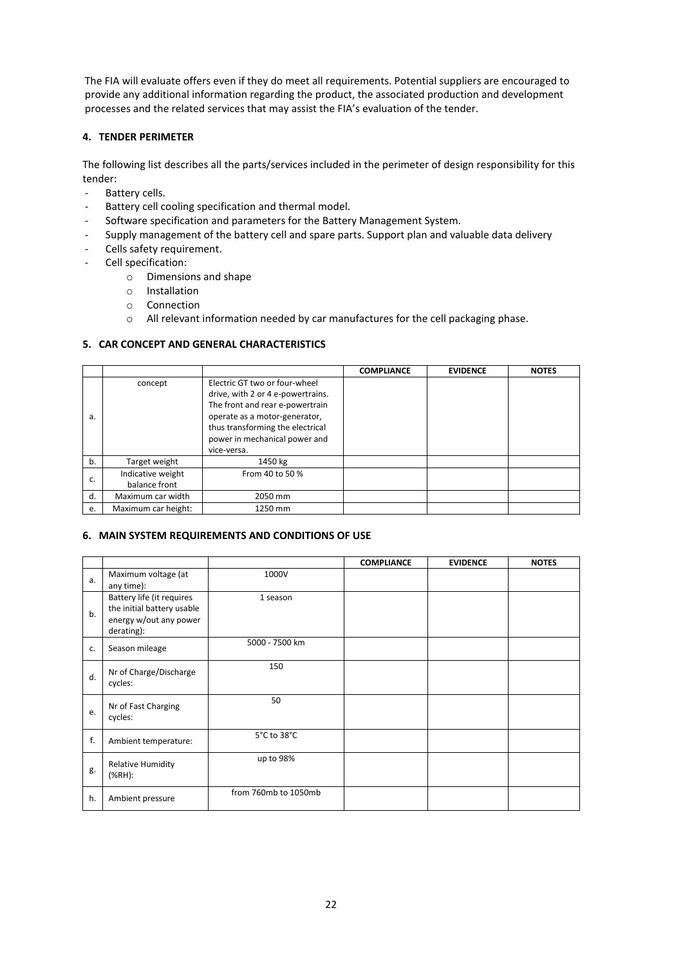The FIA will evaluate offers even if they do meet all requirements. Potential suppliers are encouraged to provide any additional information regarding the product, the associated production and development processes and the related services that may assist the FIA's evaluation of the tender.

#### **4. TENDER PERIMETER**

The following list describes all the parts/services included in the perimeter of design responsibility for this tender:

- Battery cells.
- Battery cell cooling specification and thermal model.
- Software specification and parameters for the Battery Management System.
- Supply management of the battery cell and spare parts. Support plan and valuable data delivery
- Cells safety requirement.
- Cell specification:
	- o Dimensions and shape
	- o Installation
	- o Connection
	- o All relevant information needed by car manufactures for the cell packaging phase.

#### **5. CAR CONCEPT AND GENERAL CHARACTERISTICS**

|    |                                    |                                                                                                                                                                                                                            | <b>COMPLIANCE</b> | <b>EVIDENCE</b> | <b>NOTES</b> |
|----|------------------------------------|----------------------------------------------------------------------------------------------------------------------------------------------------------------------------------------------------------------------------|-------------------|-----------------|--------------|
| a. | concept                            | Electric GT two or four-wheel<br>drive, with 2 or 4 e-powertrains.<br>The front and rear e-powertrain<br>operate as a motor-generator,<br>thus transforming the electrical<br>power in mechanical power and<br>vice-versa. |                   |                 |              |
| b. | Target weight                      | 1450 kg                                                                                                                                                                                                                    |                   |                 |              |
| c. | Indicative weight<br>balance front | From 40 to 50 %                                                                                                                                                                                                            |                   |                 |              |
| d. | Maximum car width                  | 2050 mm                                                                                                                                                                                                                    |                   |                 |              |
| e. | Maximum car height:                | 1250 mm                                                                                                                                                                                                                    |                   |                 |              |

#### **6. MAIN SYSTEM REQUIREMENTS AND CONDITIONS OF USE**

|    |                                                                                                 |                      | <b>COMPLIANCE</b> | <b>EVIDENCE</b> | <b>NOTES</b> |
|----|-------------------------------------------------------------------------------------------------|----------------------|-------------------|-----------------|--------------|
| a. | Maximum voltage (at<br>any time):                                                               | 1000V                |                   |                 |              |
| b. | Battery life (it requires<br>the initial battery usable<br>energy w/out any power<br>derating): | 1 season             |                   |                 |              |
| c. | Season mileage                                                                                  | 5000 - 7500 km       |                   |                 |              |
| d. | Nr of Charge/Discharge<br>cycles:                                                               | 150                  |                   |                 |              |
| e. | Nr of Fast Charging<br>cycles:                                                                  | 50                   |                   |                 |              |
| f. | Ambient temperature:                                                                            | 5°C to 38°C          |                   |                 |              |
| g. | <b>Relative Humidity</b><br>$(% H)$ :                                                           | up to 98%            |                   |                 |              |
| h. | Ambient pressure                                                                                | from 760mb to 1050mb |                   |                 |              |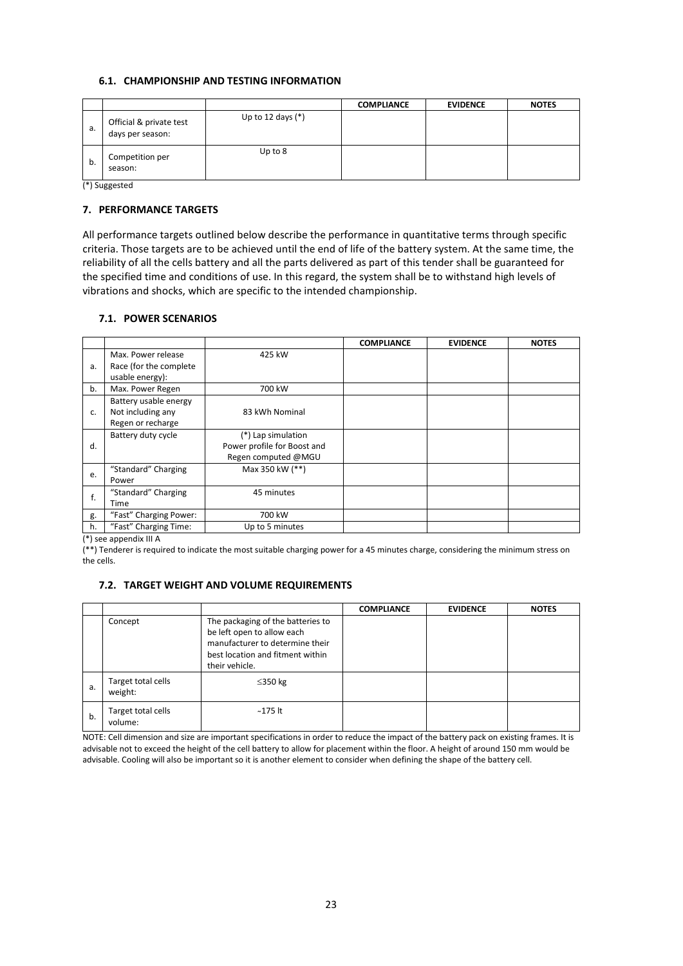#### **6.1. CHAMPIONSHIP AND TESTING INFORMATION**

|    |                                             |                     | <b>COMPLIANCE</b> | <b>EVIDENCE</b> | <b>NOTES</b> |
|----|---------------------------------------------|---------------------|-------------------|-----------------|--------------|
| a. | Official & private test<br>days per season: | Up to 12 days $(*)$ |                   |                 |              |
| b. | Competition per<br>season:                  | Up to $8$           |                   |                 |              |

(\*) Suggested

#### **7. PERFORMANCE TARGETS**

All performance targets outlined below describe the performance in quantitative terms through specific criteria. Those targets are to be achieved until the end of life of the battery system. At the same time, the reliability of all the cells battery and all the parts delivered as part of this tender shall be guaranteed for the specified time and conditions of use. In this regard, the system shall be to withstand high levels of vibrations and shocks, which are specific to the intended championship.

#### **7.1. POWER SCENARIOS**

|    |                                                                  |                                                                          | <b>COMPLIANCE</b> | <b>EVIDENCE</b> | <b>NOTES</b> |
|----|------------------------------------------------------------------|--------------------------------------------------------------------------|-------------------|-----------------|--------------|
| a. | Max. Power release<br>Race (for the complete)<br>usable energy): | 425 kW                                                                   |                   |                 |              |
| b. | Max. Power Regen                                                 | 700 kW                                                                   |                   |                 |              |
| c. | Battery usable energy<br>Not including any<br>Regen or recharge  | 83 kWh Nominal                                                           |                   |                 |              |
| d. | Battery duty cycle                                               | (*) Lap simulation<br>Power profile for Boost and<br>Regen computed @MGU |                   |                 |              |
| e. | "Standard" Charging<br>Power                                     | Max 350 kW (**)                                                          |                   |                 |              |
| f. | "Standard" Charging<br>Time                                      | 45 minutes                                                               |                   |                 |              |
| g. | "Fast" Charging Power:                                           | 700 kW                                                                   |                   |                 |              |
| h. | "Fast" Charging Time:                                            | Up to 5 minutes                                                          |                   |                 |              |

(\*) see appendix III A

(\*\*) Tenderer is required to indicate the most suitable charging power for a 45 minutes charge, considering the minimum stress on the cells.

#### **7.2. TARGET WEIGHT AND VOLUME REQUIREMENTS**

|    |                               |                                                                                                                                                          | <b>COMPLIANCE</b> | <b>EVIDENCE</b> | <b>NOTES</b> |
|----|-------------------------------|----------------------------------------------------------------------------------------------------------------------------------------------------------|-------------------|-----------------|--------------|
|    | Concept                       | The packaging of the batteries to<br>be left open to allow each<br>manufacturer to determine their<br>best location and fitment within<br>their vehicle. |                   |                 |              |
| a. | Target total cells<br>weight: | $\leq$ 350 kg                                                                                                                                            |                   |                 |              |
| b. | Target total cells<br>volume: | ~175 lt                                                                                                                                                  |                   |                 |              |

NOTE: Cell dimension and size are important specifications in order to reduce the impact of the battery pack on existing frames. It is advisable not to exceed the height of the cell battery to allow for placement within the floor. A height of around 150 mm would be advisable. Cooling will also be important so it is another element to consider when defining the shape of the battery cell.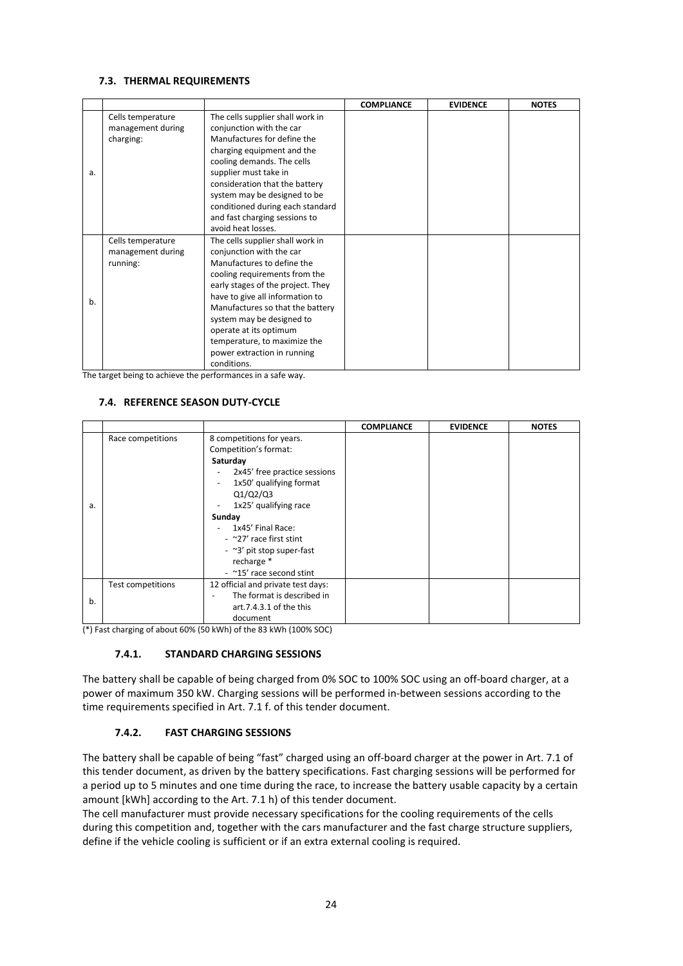#### **7.3. THERMAL REQUIREMENTS**

|    |                   |                                   | <b>COMPLIANCE</b> | <b>EVIDENCE</b> | <b>NOTES</b> |
|----|-------------------|-----------------------------------|-------------------|-----------------|--------------|
|    | Cells temperature | The cells supplier shall work in  |                   |                 |              |
|    | management during | conjunction with the car          |                   |                 |              |
|    | charging:         | Manufactures for define the       |                   |                 |              |
|    |                   | charging equipment and the        |                   |                 |              |
|    |                   | cooling demands. The cells        |                   |                 |              |
| a. |                   | supplier must take in             |                   |                 |              |
|    |                   | consideration that the battery    |                   |                 |              |
|    |                   | system may be designed to be      |                   |                 |              |
|    |                   | conditioned during each standard  |                   |                 |              |
|    |                   | and fast charging sessions to     |                   |                 |              |
|    |                   | avoid heat losses.                |                   |                 |              |
|    | Cells temperature | The cells supplier shall work in  |                   |                 |              |
|    | management during | conjunction with the car          |                   |                 |              |
|    | running:          | Manufactures to define the        |                   |                 |              |
|    |                   | cooling requirements from the     |                   |                 |              |
|    |                   | early stages of the project. They |                   |                 |              |
| b. |                   | have to give all information to   |                   |                 |              |
|    |                   | Manufactures so that the battery  |                   |                 |              |
|    |                   | system may be designed to         |                   |                 |              |
|    |                   | operate at its optimum            |                   |                 |              |
|    |                   | temperature, to maximize the      |                   |                 |              |
|    |                   | power extraction in running       |                   |                 |              |
|    |                   | conditions.                       |                   |                 |              |

The target being to achieve the performances in a safe way.

### **7.4. REFERENCE SEASON DUTY-CYCLE**

|    |                          |                                                     | <b>COMPLIANCE</b> | <b>EVIDENCE</b> | <b>NOTES</b> |
|----|--------------------------|-----------------------------------------------------|-------------------|-----------------|--------------|
|    | Race competitions        | 8 competitions for years.                           |                   |                 |              |
|    |                          | Competition's format:                               |                   |                 |              |
|    |                          | Saturday                                            |                   |                 |              |
|    |                          | 2x45' free practice sessions<br>$\overline{a}$      |                   |                 |              |
|    |                          | 1x50' qualifying format<br>$\overline{\phantom{a}}$ |                   |                 |              |
|    |                          | Q1/Q2/Q3                                            |                   |                 |              |
| a. |                          | 1x25' qualifying race<br>٠                          |                   |                 |              |
|    |                          | Sunday                                              |                   |                 |              |
|    |                          | 1x45' Final Race:                                   |                   |                 |              |
|    |                          | - $\approx$ 27' race first stint                    |                   |                 |              |
|    |                          | - ~3' pit stop super-fast                           |                   |                 |              |
|    |                          | recharge *                                          |                   |                 |              |
|    |                          | - ~15' race second stint                            |                   |                 |              |
|    | <b>Test competitions</b> | 12 official and private test days:                  |                   |                 |              |
| b. |                          | The format is described in                          |                   |                 |              |
|    |                          | art.7.4.3.1 of the this                             |                   |                 |              |
|    |                          | document                                            |                   |                 |              |

(\*) Fast charging of about 60% (50 kWh) of the 83 kWh (100% SOC)

#### **7.4.1. STANDARD CHARGING SESSIONS**

The battery shall be capable of being charged from 0% SOC to 100% SOC using an off-board charger, at a power of maximum 350 kW. Charging sessions will be performed in-between sessions according to the time requirements specified in Art. 7.1 f. of this tender document.

#### **7.4.2. FAST CHARGING SESSIONS**

The battery shall be capable of being "fast" charged using an off-board charger at the power in Art. 7.1 of this tender document, as driven by the battery specifications. Fast charging sessions will be performed for a period up to 5 minutes and one time during the race, to increase the battery usable capacity by a certain amount [kWh] according to the Art. 7.1 h) of this tender document.

The cell manufacturer must provide necessary specifications for the cooling requirements of the cells during this competition and, together with the cars manufacturer and the fast charge structure suppliers, define if the vehicle cooling is sufficient or if an extra external cooling is required.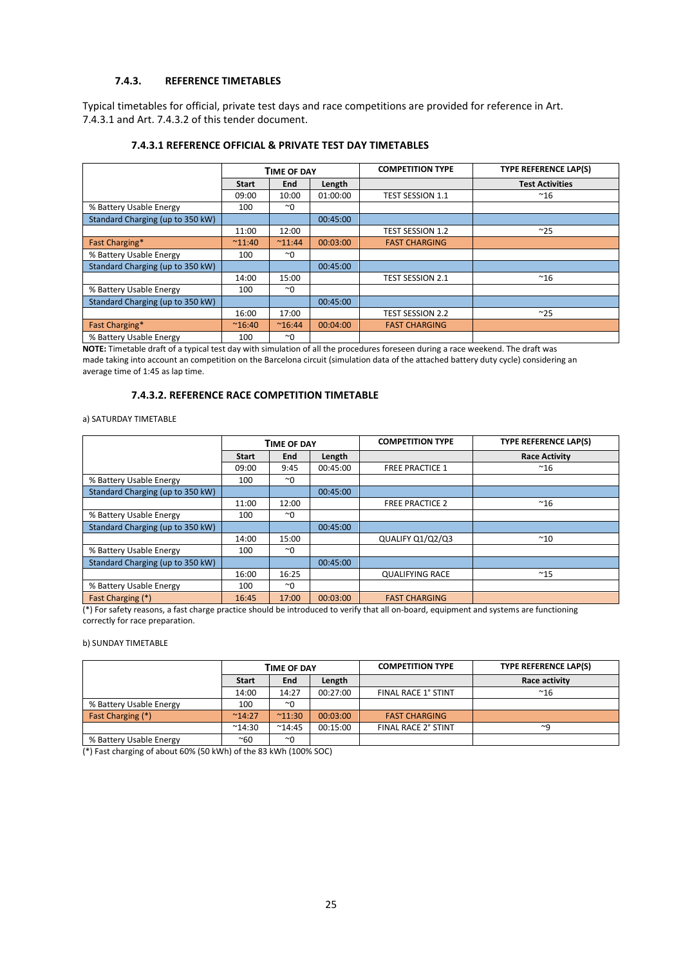#### **7.4.3. REFERENCE TIMETABLES**

Typical timetables for official, private test days and race competitions are provided for reference in Art. 7.4.3.1 and Art. 7.4.3.2 of this tender document.

|                                  |                | <b>TIME OF DAY</b> |          | <b>COMPETITION TYPE</b> | <b>TYPE REFERENCE LAP(S)</b> |
|----------------------------------|----------------|--------------------|----------|-------------------------|------------------------------|
|                                  | <b>Start</b>   | <b>End</b>         | Length   |                         | <b>Test Activities</b>       |
|                                  | 09:00          | 10:00              | 01:00:00 | <b>TEST SESSION 1.1</b> | $~^{\sim}$ 16                |
| % Battery Usable Energy          | 100            | $~\sim$ 0          |          |                         |                              |
| Standard Charging (up to 350 kW) |                |                    | 00:45:00 |                         |                              |
|                                  | 11:00          | 12:00              |          | <b>TEST SESSION 1.2</b> | $~^{\sim}25$                 |
| Fast Charging*                   | $^{\sim}11:40$ | $^{\sim}11:44$     | 00:03:00 | <b>FAST CHARGING</b>    |                              |
| % Battery Usable Energy          | 100            | $~\sim$ 0          |          |                         |                              |
| Standard Charging (up to 350 kW) |                |                    | 00:45:00 |                         |                              |
|                                  | 14:00          | 15:00              |          | <b>TEST SESSION 2.1</b> | $~^{\sim}$ 16                |
| % Battery Usable Energy          | 100            | $~\sim$ 0          |          |                         |                              |
| Standard Charging (up to 350 kW) |                |                    | 00:45:00 |                         |                              |
|                                  | 16:00          | 17:00              |          | <b>TEST SESSION 2.2</b> | ~25                          |
| Fast Charging*                   | $^{\sim}16:40$ | $^{\sim}16:44$     | 00:04:00 | <b>FAST CHARGING</b>    |                              |
| % Battery Usable Energy          | 100            | $~\sim$ 0          |          |                         |                              |

#### **7.4.3.1 REFERENCE OFFICIAL & PRIVATE TEST DAY TIMETABLES**

**NOTE:** Timetable draft of a typical test day with simulation of all the procedures foreseen during a race weekend. The draft was made taking into account an competition on the Barcelona circuit (simulation data of the attached battery duty cycle) considering an average time of 1:45 as lap time.

#### **7.4.3.2. REFERENCE RACE COMPETITION TIMETABLE**

#### a) SATURDAY TIMETABLE

|                                  |              | <b>TIME OF DAY</b> |          | <b>COMPETITION TYPE</b> | <b>TYPE REFERENCE LAP(S)</b> |
|----------------------------------|--------------|--------------------|----------|-------------------------|------------------------------|
|                                  | <b>Start</b> | <b>End</b>         | Length   |                         | <b>Race Activity</b>         |
|                                  | 09:00        | 9:45               | 00:45:00 | <b>FREE PRACTICE 1</b>  | $^{\sim}$ 16                 |
| % Battery Usable Energy          | 100          | $~\sim$ 0          |          |                         |                              |
| Standard Charging (up to 350 kW) |              |                    | 00:45:00 |                         |                              |
|                                  | 11:00        | 12:00              |          | <b>FREE PRACTICE 2</b>  | $~^{\sim}$ 16                |
| % Battery Usable Energy          | 100          | $~\sim$ 0          |          |                         |                              |
| Standard Charging (up to 350 kW) |              |                    | 00:45:00 |                         |                              |
|                                  | 14:00        | 15:00              |          | QUALIFY Q1/Q2/Q3        | $^{\sim}$ 10                 |
| % Battery Usable Energy          | 100          | $~\sim$ 0          |          |                         |                              |
| Standard Charging (up to 350 kW) |              |                    | 00:45:00 |                         |                              |
|                                  | 16:00        | 16:25              |          | <b>QUALIFYING RACE</b>  | $~^{\sim}$ 15                |
| % Battery Usable Energy          | 100          | $~\sim$ 0          |          |                         |                              |
| Fast Charging (*)                | 16:45        | 17:00              | 00:03:00 | <b>FAST CHARGING</b>    |                              |

(\*) For safety reasons, a fast charge practice should be introduced to verify that all on-board, equipment and systems are functioning correctly for race preparation.

#### b) SUNDAY TIMETABLE

|                         |                 | <b>TIME OF DAY</b> |          | <b>COMPETITION TYPE</b>    | <b>TYPE REFERENCE LAP(S)</b> |
|-------------------------|-----------------|--------------------|----------|----------------------------|------------------------------|
|                         | <b>Start</b>    | End                | Length   |                            | Race activity                |
|                         | 14:00           | 14:27              | 00:27:00 | FINAL RACE 1° STINT        | $~^{\sim}$ 16                |
| % Battery Usable Energy | 100             | $^{\sim}$ 0        |          |                            |                              |
| Fast Charging (*)       | $^{\sim}14:27$  | $^{\sim}11:30$     | 00:03:00 | <b>FAST CHARGING</b>       |                              |
|                         | $^{\sim}$ 14:30 | $^{\sim}14:45$     | 00:15:00 | <b>FINAL RACE 2° STINT</b> | $\sim$ a                     |
| % Battery Usable Energy | ~60             | $~\sim$ 0          |          |                            |                              |

(\*) Fast charging of about 60% (50 kWh) of the 83 kWh (100% SOC)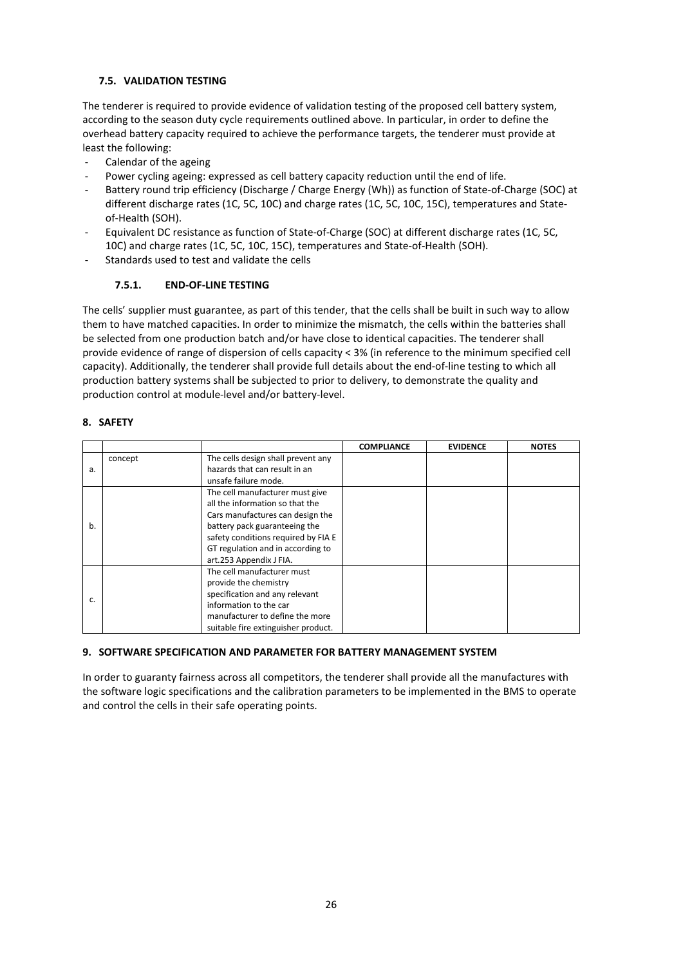#### **7.5. VALIDATION TESTING**

The tenderer is required to provide evidence of validation testing of the proposed cell battery system, according to the season duty cycle requirements outlined above. In particular, in order to define the overhead battery capacity required to achieve the performance targets, the tenderer must provide at least the following:

- Calendar of the ageing
- Power cycling ageing: expressed as cell battery capacity reduction until the end of life.
- Battery round trip efficiency (Discharge / Charge Energy (Wh)) as function of State-of-Charge (SOC) at different discharge rates (1C, 5C, 10C) and charge rates (1C, 5C, 10C, 15C), temperatures and Stateof-Health (SOH).
- Equivalent DC resistance as function of State-of-Charge (SOC) at different discharge rates (1C, 5C, 10C) and charge rates (1C, 5C, 10C, 15C), temperatures and State-of-Health (SOH).
- Standards used to test and validate the cells

### **7.5.1. END-OF-LINE TESTING**

The cells' supplier must guarantee, as part of this tender, that the cells shall be built in such way to allow them to have matched capacities. In order to minimize the mismatch, the cells within the batteries shall be selected from one production batch and/or have close to identical capacities. The tenderer shall provide evidence of range of dispersion of cells capacity < 3% (in reference to the minimum specified cell capacity). Additionally, the tenderer shall provide full details about the end-of-line testing to which all production battery systems shall be subjected to prior to delivery, to demonstrate the quality and production control at module-level and/or battery-level.

#### **8. SAFETY**

|    |         |                                     | <b>COMPLIANCE</b> | <b>EVIDENCE</b> | <b>NOTES</b> |
|----|---------|-------------------------------------|-------------------|-----------------|--------------|
|    | concept | The cells design shall prevent any  |                   |                 |              |
| a. |         | hazards that can result in an       |                   |                 |              |
|    |         | unsafe failure mode.                |                   |                 |              |
|    |         | The cell manufacturer must give     |                   |                 |              |
|    |         | all the information so that the     |                   |                 |              |
|    |         | Cars manufactures can design the    |                   |                 |              |
| b. |         | battery pack guaranteeing the       |                   |                 |              |
|    |         | safety conditions required by FIA E |                   |                 |              |
|    |         | GT regulation and in according to   |                   |                 |              |
|    |         | art.253 Appendix J FIA.             |                   |                 |              |
|    |         | The cell manufacturer must          |                   |                 |              |
|    |         | provide the chemistry               |                   |                 |              |
|    |         | specification and any relevant      |                   |                 |              |
| c. |         | information to the car              |                   |                 |              |
|    |         | manufacturer to define the more     |                   |                 |              |
|    |         | suitable fire extinguisher product. |                   |                 |              |

#### **9. SOFTWARE SPECIFICATION AND PARAMETER FOR BATTERY MANAGEMENT SYSTEM**

In order to guaranty fairness across all competitors, the tenderer shall provide all the manufactures with the software logic specifications and the calibration parameters to be implemented in the BMS to operate and control the cells in their safe operating points.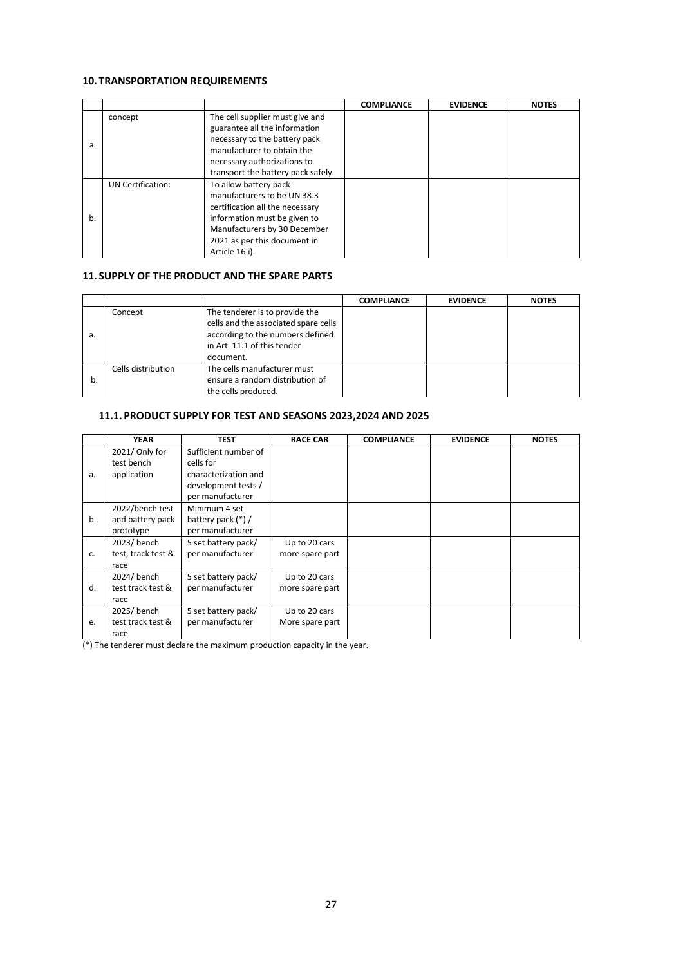### **10. TRANSPORTATION REQUIREMENTS**

|    |                   |                                                                                                                                                                                                           | <b>COMPLIANCE</b> | <b>EVIDENCE</b> | <b>NOTES</b> |
|----|-------------------|-----------------------------------------------------------------------------------------------------------------------------------------------------------------------------------------------------------|-------------------|-----------------|--------------|
| a. | concept           | The cell supplier must give and<br>guarantee all the information<br>necessary to the battery pack<br>manufacturer to obtain the                                                                           |                   |                 |              |
|    |                   | necessary authorizations to<br>transport the battery pack safely.                                                                                                                                         |                   |                 |              |
| b. | UN Certification: | To allow battery pack<br>manufacturers to be UN 38.3<br>certification all the necessary<br>information must be given to<br>Manufacturers by 30 December<br>2021 as per this document in<br>Article 16.i). |                   |                 |              |

#### **11. SUPPLY OF THE PRODUCT AND THE SPARE PARTS**

|    |                    |                                                                                                                                                        | <b>COMPLIANCE</b> | <b>EVIDENCE</b> | <b>NOTES</b> |
|----|--------------------|--------------------------------------------------------------------------------------------------------------------------------------------------------|-------------------|-----------------|--------------|
| а. | Concept            | The tenderer is to provide the<br>cells and the associated spare cells<br>according to the numbers defined<br>in Art. 11.1 of this tender<br>document. |                   |                 |              |
| b. | Cells distribution | The cells manufacturer must<br>ensure a random distribution of<br>the cells produced.                                                                  |                   |                 |              |

#### **11.1. PRODUCT SUPPLY FOR TEST AND SEASONS 2023,2024 AND 2025**

|    | <b>YEAR</b>        | <b>TEST</b>          | <b>RACE CAR</b> | <b>COMPLIANCE</b> | <b>EVIDENCE</b> | <b>NOTES</b> |
|----|--------------------|----------------------|-----------------|-------------------|-----------------|--------------|
|    | 2021/ Only for     | Sufficient number of |                 |                   |                 |              |
|    | test bench         | cells for            |                 |                   |                 |              |
| a. | application        | characterization and |                 |                   |                 |              |
|    |                    | development tests /  |                 |                   |                 |              |
|    |                    | per manufacturer     |                 |                   |                 |              |
|    | 2022/bench test    | Minimum 4 set        |                 |                   |                 |              |
| b. | and battery pack   | battery pack $(*)$ / |                 |                   |                 |              |
|    | prototype          | per manufacturer     |                 |                   |                 |              |
|    | 2023/bench         | 5 set battery pack/  | Up to 20 cars   |                   |                 |              |
| c. | test, track test & | per manufacturer     | more spare part |                   |                 |              |
|    | race               |                      |                 |                   |                 |              |
|    | 2024/bench         | 5 set battery pack/  | Up to 20 cars   |                   |                 |              |
| d. | test track test &  | per manufacturer     | more spare part |                   |                 |              |
|    | race               |                      |                 |                   |                 |              |
|    | 2025/bench         | 5 set battery pack/  | Up to 20 cars   |                   |                 |              |
| e. | test track test &  | per manufacturer     | More spare part |                   |                 |              |
|    | race               |                      |                 |                   |                 |              |

(\*) The tenderer must declare the maximum production capacity in the year.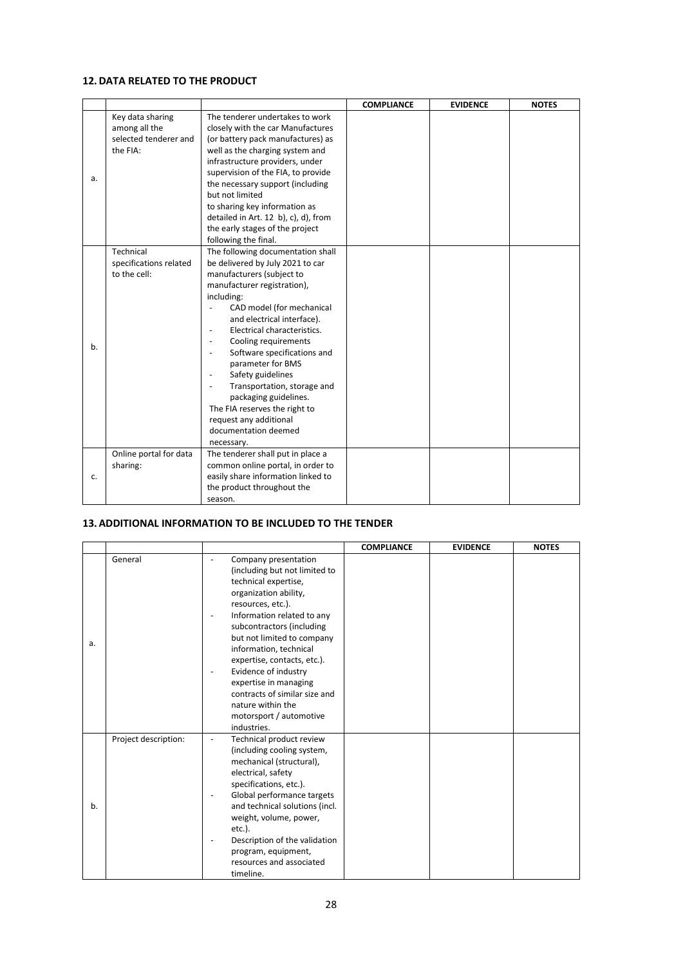#### **12.DATA RELATED TO THE PRODUCT**

|    |                                                                        |                                                                                                                                                                                                                                                                                                                                                                                                                                                                                                                                                             | <b>COMPLIANCE</b> | <b>EVIDENCE</b> | <b>NOTES</b> |
|----|------------------------------------------------------------------------|-------------------------------------------------------------------------------------------------------------------------------------------------------------------------------------------------------------------------------------------------------------------------------------------------------------------------------------------------------------------------------------------------------------------------------------------------------------------------------------------------------------------------------------------------------------|-------------------|-----------------|--------------|
| a. | Key data sharing<br>among all the<br>selected tenderer and<br>the FIA: | The tenderer undertakes to work<br>closely with the car Manufactures<br>(or battery pack manufactures) as<br>well as the charging system and<br>infrastructure providers, under<br>supervision of the FIA, to provide<br>the necessary support (including<br>but not limited<br>to sharing key information as<br>detailed in Art. 12 b), c), d), from<br>the early stages of the project<br>following the final.                                                                                                                                            |                   |                 |              |
| b. | Technical<br>specifications related<br>to the cell:                    | The following documentation shall<br>be delivered by July 2021 to car<br>manufacturers (subject to<br>manufacturer registration),<br>including:<br>CAD model (for mechanical<br>and electrical interface).<br>Electrical characteristics.<br>Cooling requirements<br>$\overline{\phantom{0}}$<br>Software specifications and<br>$\overline{\phantom{0}}$<br>parameter for BMS<br>Safety guidelines<br>Transportation, storage and<br>packaging guidelines.<br>The FIA reserves the right to<br>request any additional<br>documentation deemed<br>necessary. |                   |                 |              |
| c. | Online portal for data<br>sharing:                                     | The tenderer shall put in place a<br>common online portal, in order to<br>easily share information linked to<br>the product throughout the<br>season.                                                                                                                                                                                                                                                                                                                                                                                                       |                   |                 |              |

#### **13.ADDITIONAL INFORMATION TO BE INCLUDED TO THE TENDER**

|    |                      |                                                                                                                                                                                                                                                                                                                                                                                                                                                            | <b>COMPLIANCE</b> | <b>EVIDENCE</b> | <b>NOTES</b> |
|----|----------------------|------------------------------------------------------------------------------------------------------------------------------------------------------------------------------------------------------------------------------------------------------------------------------------------------------------------------------------------------------------------------------------------------------------------------------------------------------------|-------------------|-----------------|--------------|
| a. | General              | Company presentation<br>(including but not limited to<br>technical expertise,<br>organization ability,<br>resources, etc.).<br>Information related to any<br>subcontractors (including<br>but not limited to company<br>information, technical<br>expertise, contacts, etc.).<br>Evidence of industry<br>$\overline{\phantom{a}}$<br>expertise in managing<br>contracts of similar size and<br>nature within the<br>motorsport / automotive<br>industries. |                   |                 |              |
| b. | Project description: | Technical product review<br>$\overline{\phantom{a}}$<br>(including cooling system,<br>mechanical (structural),<br>electrical, safety<br>specifications, etc.).<br>Global performance targets<br>$\overline{\phantom{a}}$<br>and technical solutions (incl.<br>weight, volume, power,<br>$etc.$ ).<br>Description of the validation<br>program, equipment,<br>resources and associated<br>timeline.                                                         |                   |                 |              |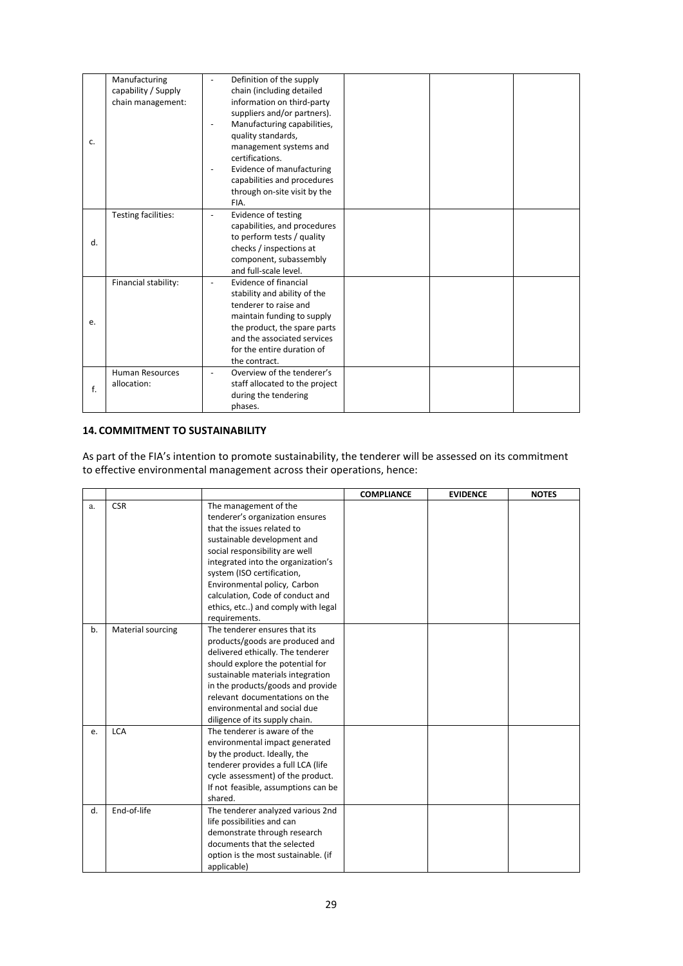| c. | Manufacturing<br>capability / Supply<br>chain management: | Definition of the supply<br>chain (including detailed<br>information on third-party<br>suppliers and/or partners).<br>Manufacturing capabilities,<br>quality standards,<br>management systems and<br>certifications.<br>Evidence of manufacturing<br>capabilities and procedures<br>through on-site visit by the |
|----|-----------------------------------------------------------|------------------------------------------------------------------------------------------------------------------------------------------------------------------------------------------------------------------------------------------------------------------------------------------------------------------|
|    |                                                           | FIA.                                                                                                                                                                                                                                                                                                             |
| d. | Testing facilities:                                       | Evidence of testing<br>capabilities, and procedures<br>to perform tests / quality<br>checks / inspections at<br>component, subassembly<br>and full-scale level.                                                                                                                                                  |
| e. | Financial stability:                                      | Evidence of financial<br>stability and ability of the<br>tenderer to raise and<br>maintain funding to supply<br>the product, the spare parts<br>and the associated services<br>for the entire duration of<br>the contract.                                                                                       |
| f. | Human Resources<br>allocation:                            | Overview of the tenderer's<br>staff allocated to the project<br>during the tendering<br>phases.                                                                                                                                                                                                                  |

#### **14. COMMITMENT TO SUSTAINABILITY**

As part of the FIA's intention to promote sustainability, the tenderer will be assessed on its commitment to effective environmental management across their operations, hence:

|    |                   |                                                                                                                                                                                                                                                                                                                                                        | <b>COMPLIANCE</b> | <b>EVIDENCE</b> | <b>NOTES</b> |
|----|-------------------|--------------------------------------------------------------------------------------------------------------------------------------------------------------------------------------------------------------------------------------------------------------------------------------------------------------------------------------------------------|-------------------|-----------------|--------------|
| a. | <b>CSR</b>        | The management of the<br>tenderer's organization ensures<br>that the issues related to<br>sustainable development and<br>social responsibility are well<br>integrated into the organization's<br>system (ISO certification,<br>Environmental policy, Carbon<br>calculation, Code of conduct and<br>ethics, etc) and comply with legal<br>requirements. |                   |                 |              |
| b. | Material sourcing | The tenderer ensures that its<br>products/goods are produced and<br>delivered ethically. The tenderer<br>should explore the potential for<br>sustainable materials integration<br>in the products/goods and provide<br>relevant documentations on the<br>environmental and social due<br>diligence of its supply chain.                                |                   |                 |              |
| e. | <b>LCA</b>        | The tenderer is aware of the<br>environmental impact generated<br>by the product. Ideally, the<br>tenderer provides a full LCA (life<br>cycle assessment) of the product.<br>If not feasible, assumptions can be<br>shared.                                                                                                                            |                   |                 |              |
| d. | End-of-life       | The tenderer analyzed various 2nd<br>life possibilities and can<br>demonstrate through research<br>documents that the selected<br>option is the most sustainable. (if<br>applicable)                                                                                                                                                                   |                   |                 |              |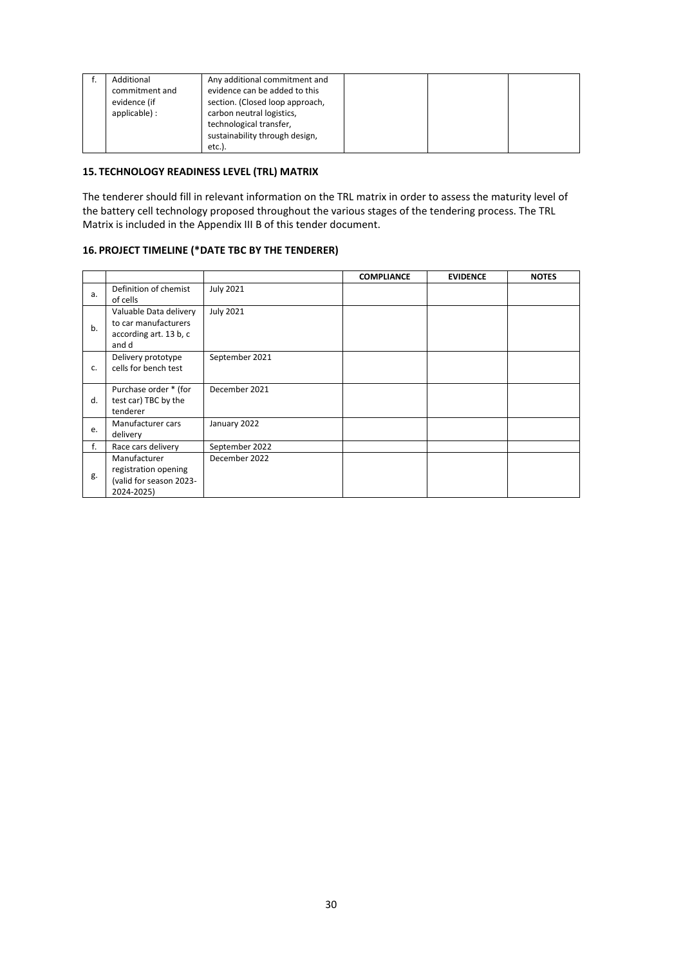| Additional<br>commitment and  | Any additional commitment and<br>evidence can be added to this                          |  |  |
|-------------------------------|-----------------------------------------------------------------------------------------|--|--|
| evidence (if<br>applicable) : | section. (Closed loop approach,<br>carbon neutral logistics,<br>technological transfer, |  |  |
|                               | sustainability through design,<br>etc.).                                                |  |  |

#### **15. TECHNOLOGY READINESS LEVEL (TRL) MATRIX**

The tenderer should fill in relevant information on the TRL matrix in order to assess the maturity level of the battery cell technology proposed throughout the various stages of the tendering process. The TRL Matrix is included in the Appendix III B of this tender document.

#### **16. PROJECT TIMELINE (\*DATE TBC BY THE TENDERER)**

|    |                                                                                   |                  | <b>COMPLIANCE</b> | <b>EVIDENCE</b> | <b>NOTES</b> |
|----|-----------------------------------------------------------------------------------|------------------|-------------------|-----------------|--------------|
| a. | Definition of chemist<br>of cells                                                 | <b>July 2021</b> |                   |                 |              |
| b. | Valuable Data delivery<br>to car manufacturers<br>according art. 13 b, c<br>and d | <b>July 2021</b> |                   |                 |              |
| c. | Delivery prototype<br>cells for bench test                                        | September 2021   |                   |                 |              |
| d. | Purchase order * (for<br>test car) TBC by the<br>tenderer                         | December 2021    |                   |                 |              |
| e. | Manufacturer cars<br>delivery                                                     | January 2022     |                   |                 |              |
| f. | Race cars delivery                                                                | September 2022   |                   |                 |              |
| g. | Manufacturer<br>registration opening<br>(valid for season 2023-<br>2024-2025)     | December 2022    |                   |                 |              |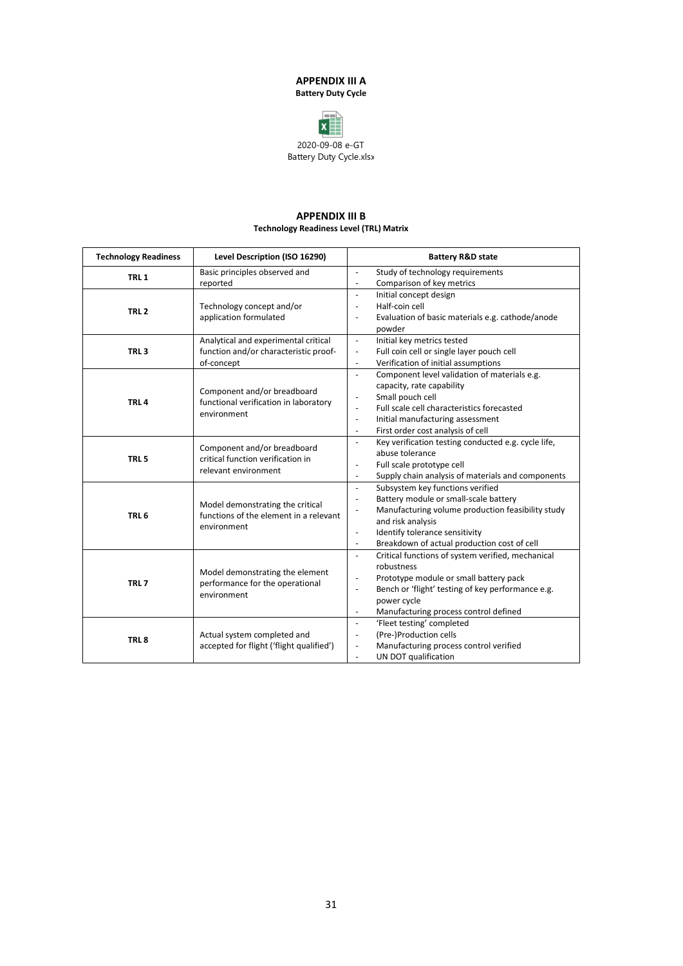#### **APPENDIX III A Battery Duty Cycle**



#### **APPENDIX III B Technology Readiness Level (TRL) Matrix**

| <b>Technology Readiness</b> | Level Description (ISO 16290)                                                            |                          | <b>Battery R&amp;D state</b>                        |
|-----------------------------|------------------------------------------------------------------------------------------|--------------------------|-----------------------------------------------------|
| TRL <sub>1</sub>            | Basic principles observed and                                                            | $\overline{\phantom{a}}$ | Study of technology requirements                    |
|                             | reported                                                                                 | $\overline{\phantom{a}}$ | Comparison of key metrics                           |
|                             |                                                                                          |                          | Initial concept design                              |
| TRL <sub>2</sub>            | Technology concept and/or                                                                | $\overline{\phantom{a}}$ | Half-coin cell                                      |
|                             | application formulated                                                                   | $\overline{\phantom{a}}$ | Evaluation of basic materials e.g. cathode/anode    |
|                             |                                                                                          |                          | powder                                              |
|                             | Analytical and experimental critical                                                     | $\blacksquare$           | Initial key metrics tested                          |
| TRL <sub>3</sub>            | function and/or characteristic proof-                                                    | $\overline{\phantom{a}}$ | Full coin cell or single layer pouch cell           |
|                             | of-concept                                                                               | $\overline{\phantom{a}}$ | Verification of initial assumptions                 |
|                             |                                                                                          | $\overline{\phantom{a}}$ | Component level validation of materials e.g.        |
|                             | Component and/or breadboard                                                              |                          | capacity, rate capability                           |
| TRL <sub>4</sub>            | functional verification in laboratory<br>environment                                     | $\overline{\phantom{a}}$ | Small pouch cell                                    |
|                             |                                                                                          | $\overline{\phantom{a}}$ | Full scale cell characteristics forecasted          |
|                             |                                                                                          | $\overline{\phantom{a}}$ | Initial manufacturing assessment                    |
|                             |                                                                                          | $\overline{\phantom{a}}$ | First order cost analysis of cell                   |
|                             | Component and/or breadboard<br>critical function verification in<br>relevant environment | $\blacksquare$           | Key verification testing conducted e.g. cycle life, |
| TRL <sub>5</sub>            |                                                                                          |                          | abuse tolerance                                     |
|                             |                                                                                          | $\overline{\phantom{a}}$ | Full scale prototype cell                           |
|                             |                                                                                          | $\overline{\phantom{a}}$ | Supply chain analysis of materials and components   |
|                             |                                                                                          | $\overline{\phantom{a}}$ | Subsystem key functions verified                    |
|                             | Model demonstrating the critical                                                         | $\overline{\phantom{a}}$ | Battery module or small-scale battery               |
| TRL <sub>6</sub>            | functions of the element in a relevant<br>environment                                    |                          | Manufacturing volume production feasibility study   |
|                             |                                                                                          |                          | and risk analysis                                   |
|                             |                                                                                          | $\blacksquare$           | Identify tolerance sensitivity                      |
|                             |                                                                                          | $\overline{\phantom{a}}$ | Breakdown of actual production cost of cell         |
|                             |                                                                                          | $\blacksquare$           | Critical functions of system verified, mechanical   |
|                             | Model demonstrating the element                                                          |                          | robustness                                          |
| TRL <sub>7</sub>            | performance for the operational                                                          | $\overline{\phantom{a}}$ | Prototype module or small battery pack              |
|                             | environment                                                                              | $\overline{\phantom{a}}$ | Bench or 'flight' testing of key performance e.g.   |
|                             |                                                                                          |                          | power cycle                                         |
|                             |                                                                                          | $\blacksquare$           | Manufacturing process control defined               |
|                             |                                                                                          | $\blacksquare$           | 'Fleet testing' completed                           |
| TRL <sub>8</sub>            | Actual system completed and                                                              | $\overline{\phantom{a}}$ | (Pre-)Production cells                              |
|                             | accepted for flight ('flight qualified')                                                 | $\overline{\phantom{a}}$ | Manufacturing process control verified              |
|                             |                                                                                          | $\overline{\phantom{a}}$ | UN DOT qualification                                |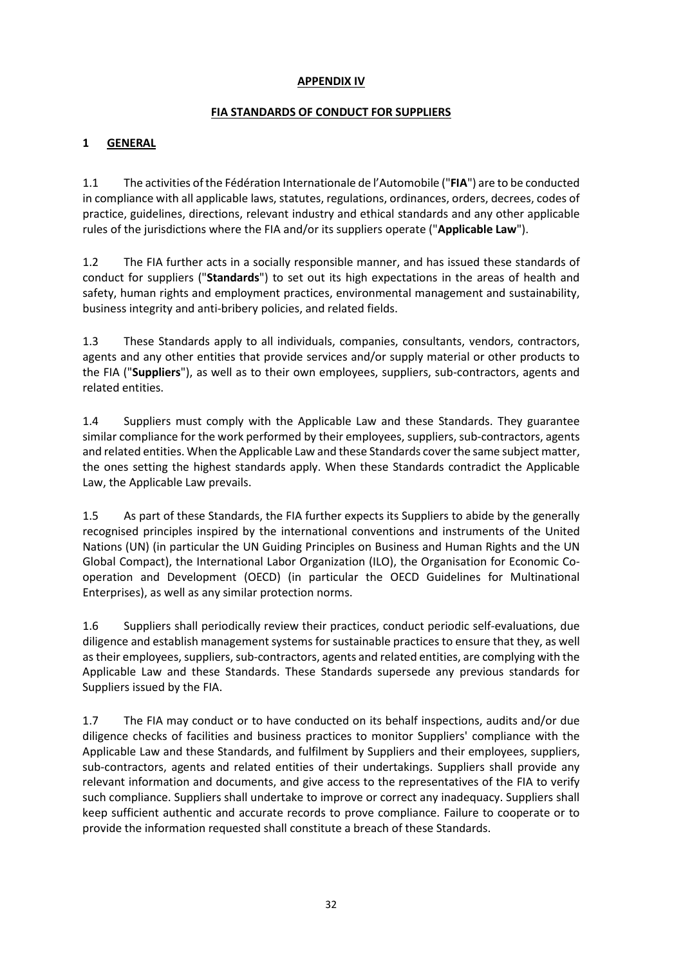### **APPENDIX IV**

### **FIA STANDARDS OF CONDUCT FOR SUPPLIERS**

### **1 GENERAL**

1.1 The activities of the Fédération Internationale de l'Automobile ("**FIA**") are to be conducted in compliance with all applicable laws, statutes, regulations, ordinances, orders, decrees, codes of practice, guidelines, directions, relevant industry and ethical standards and any other applicable rules of the jurisdictions where the FIA and/or its suppliers operate ("**Applicable Law**").

1.2 The FIA further acts in a socially responsible manner, and has issued these standards of conduct for suppliers ("**Standards**") to set out its high expectations in the areas of health and safety, human rights and employment practices, environmental management and sustainability, business integrity and anti-bribery policies, and related fields.

1.3 These Standards apply to all individuals, companies, consultants, vendors, contractors, agents and any other entities that provide services and/or supply material or other products to the FIA ("**Suppliers**"), as well as to their own employees, suppliers, sub-contractors, agents and related entities.

1.4 Suppliers must comply with the Applicable Law and these Standards. They guarantee similar compliance for the work performed by their employees, suppliers, sub-contractors, agents and related entities. When the Applicable Law and these Standards cover the same subject matter, the ones setting the highest standards apply. When these Standards contradict the Applicable Law, the Applicable Law prevails.

1.5 As part of these Standards, the FIA further expects its Suppliers to abide by the generally recognised principles inspired by the international conventions and instruments of the United Nations (UN) (in particular the UN Guiding Principles on Business and Human Rights and the UN Global Compact), the International Labor Organization (ILO), the Organisation for Economic Cooperation and Development (OECD) (in particular the OECD Guidelines for Multinational Enterprises), as well as any similar protection norms.

1.6 Suppliers shall periodically review their practices, conduct periodic self-evaluations, due diligence and establish management systems for sustainable practices to ensure that they, as well as their employees, suppliers, sub-contractors, agents and related entities, are complying with the Applicable Law and these Standards. These Standards supersede any previous standards for Suppliers issued by the FIA.

1.7 The FIA may conduct or to have conducted on its behalf inspections, audits and/or due diligence checks of facilities and business practices to monitor Suppliers' compliance with the Applicable Law and these Standards, and fulfilment by Suppliers and their employees, suppliers, sub-contractors, agents and related entities of their undertakings. Suppliers shall provide any relevant information and documents, and give access to the representatives of the FIA to verify such compliance. Suppliers shall undertake to improve or correct any inadequacy. Suppliers shall keep sufficient authentic and accurate records to prove compliance. Failure to cooperate or to provide the information requested shall constitute a breach of these Standards.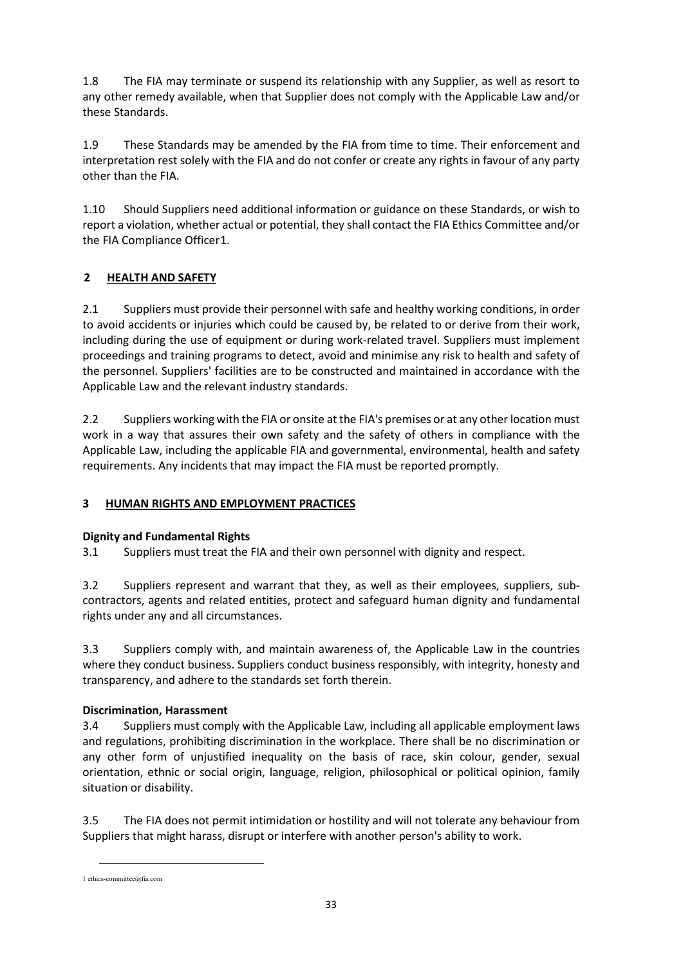1.8 The FIA may terminate or suspend its relationship with any Supplier, as well as resort to any other remedy available, when that Supplier does not comply with the Applicable Law and/or these Standards.

1.9 These Standards may be amended by the FIA from time to time. Their enforcement and interpretation rest solely with the FIA and do not confer or create any rights in favour of any party other than the FIA.

1.10 Should Suppliers need additional information or guidance on these Standards, or wish to report a violation, whether actual or potential, they shall contact the FIA Ethics Committee and/or the FIA Compliance Officer[1.](#page-32-0)

### **2 HEALTH AND SAFETY**

2.1 Suppliers must provide their personnel with safe and healthy working conditions, in order to avoid accidents or injuries which could be caused by, be related to or derive from their work, including during the use of equipment or during work-related travel. Suppliers must implement proceedings and training programs to detect, avoid and minimise any risk to health and safety of the personnel. Suppliers' facilities are to be constructed and maintained in accordance with the Applicable Law and the relevant industry standards.

2.2 Suppliers working with the FIA or onsite at the FIA's premises or at any other location must work in a way that assures their own safety and the safety of others in compliance with the Applicable Law, including the applicable FIA and governmental, environmental, health and safety requirements. Any incidents that may impact the FIA must be reported promptly.

### **3 HUMAN RIGHTS AND EMPLOYMENT PRACTICES**

### **Dignity and Fundamental Rights**

3.1 Suppliers must treat the FIA and their own personnel with dignity and respect.

3.2 Suppliers represent and warrant that they, as well as their employees, suppliers, subcontractors, agents and related entities, protect and safeguard human dignity and fundamental rights under any and all circumstances.

3.3 Suppliers comply with, and maintain awareness of, the Applicable Law in the countries where they conduct business. Suppliers conduct business responsibly, with integrity, honesty and transparency, and adhere to the standards set forth therein.

### **Discrimination, Harassment**

3.4 Suppliers must comply with the Applicable Law, including all applicable employment laws and regulations, prohibiting discrimination in the workplace. There shall be no discrimination or any other form of unjustified inequality on the basis of race, skin colour, gender, sexual orientation, ethnic or social origin, language, religion, philosophical or political opinion, family situation or disability.

3.5 The FIA does not permit intimidation or hostility and will not tolerate any behaviour from Suppliers that might harass, disrupt or interfere with another person's ability to work.

-

<span id="page-32-0"></span><sup>1</sup> ethics-committee@fia.com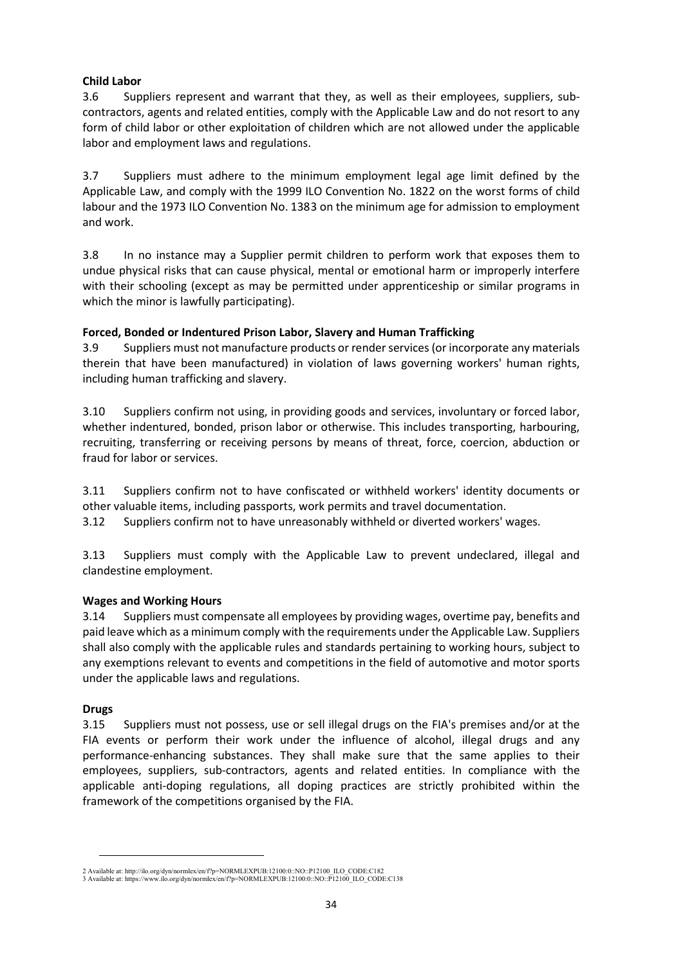### **Child Labor**

3.6 Suppliers represent and warrant that they, as well as their employees, suppliers, subcontractors, agents and related entities, comply with the Applicable Law and do not resort to any form of child labor or other exploitation of children which are not allowed under the applicable labor and employment laws and regulations.

3.7 Suppliers must adhere to the minimum employment legal age limit defined by the Applicable Law, and comply with the 1999 ILO Convention No. 182[2](#page-33-0) on the worst forms of child labour and the 1973 ILO Convention No. 138[3](#page-33-1) on the minimum age for admission to employment and work.

3.8 In no instance may a Supplier permit children to perform work that exposes them to undue physical risks that can cause physical, mental or emotional harm or improperly interfere with their schooling (except as may be permitted under apprenticeship or similar programs in which the minor is lawfully participating).

### **Forced, Bonded or Indentured Prison Labor, Slavery and Human Trafficking**

3.9 Suppliers must not manufacture products or render services (or incorporate any materials therein that have been manufactured) in violation of laws governing workers' human rights, including human trafficking and slavery.

3.10 Suppliers confirm not using, in providing goods and services, involuntary or forced labor, whether indentured, bonded, prison labor or otherwise. This includes transporting, harbouring, recruiting, transferring or receiving persons by means of threat, force, coercion, abduction or fraud for labor or services.

3.11 Suppliers confirm not to have confiscated or withheld workers' identity documents or other valuable items, including passports, work permits and travel documentation.

3.12 Suppliers confirm not to have unreasonably withheld or diverted workers' wages.

3.13 Suppliers must comply with the Applicable Law to prevent undeclared, illegal and clandestine employment.

#### **Wages and Working Hours**

3.14 Suppliers must compensate all employees by providing wages, overtime pay, benefits and paid leave which as a minimum comply with the requirements under the Applicable Law. Suppliers shall also comply with the applicable rules and standards pertaining to working hours, subject to any exemptions relevant to events and competitions in the field of automotive and motor sports under the applicable laws and regulations.

#### **Drugs**

l

3.15 Suppliers must not possess, use or sell illegal drugs on the FIA's premises and/or at the FIA events or perform their work under the influence of alcohol, illegal drugs and any performance-enhancing substances. They shall make sure that the same applies to their employees, suppliers, sub-contractors, agents and related entities. In compliance with the applicable anti-doping regulations, all doping practices are strictly prohibited within the framework of the competitions organised by the FIA.

<span id="page-33-1"></span><span id="page-33-0"></span><sup>2</sup> Available at: http://ilo.org/dyn/normlex/en/f?p=NORMLEXPUB:12100:0::NO::P12100\_ILO\_CODE:C182 3 Available at: https://www.ilo.org/dyn/normlex/en/f?p=NORMLEXPUB:12100:0::NO::P12100\_ILO\_CODE:C138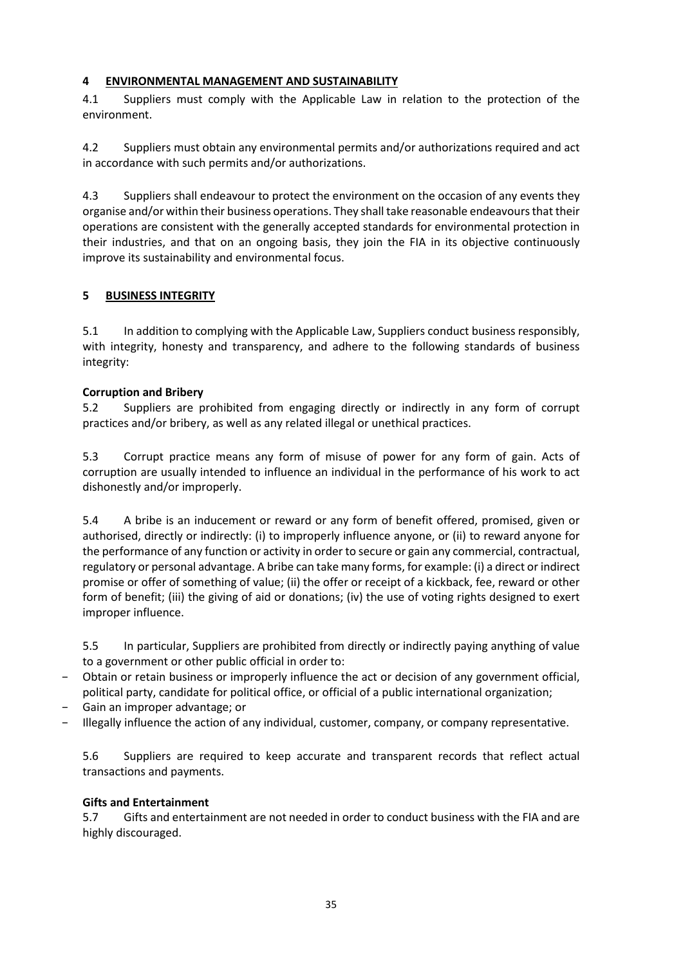### **4 ENVIRONMENTAL MANAGEMENT AND SUSTAINABILITY**

4.1 Suppliers must comply with the Applicable Law in relation to the protection of the environment.

4.2 Suppliers must obtain any environmental permits and/or authorizations required and act in accordance with such permits and/or authorizations.

4.3 Suppliers shall endeavour to protect the environment on the occasion of any events they organise and/or within their business operations. They shall take reasonable endeavours that their operations are consistent with the generally accepted standards for environmental protection in their industries, and that on an ongoing basis, they join the FIA in its objective continuously improve its sustainability and environmental focus.

### **5 BUSINESS INTEGRITY**

5.1 In addition to complying with the Applicable Law, Suppliers conduct business responsibly, with integrity, honesty and transparency, and adhere to the following standards of business integrity:

### **Corruption and Bribery**

5.2 Suppliers are prohibited from engaging directly or indirectly in any form of corrupt practices and/or bribery, as well as any related illegal or unethical practices.

5.3 Corrupt practice means any form of misuse of power for any form of gain. Acts of corruption are usually intended to influence an individual in the performance of his work to act dishonestly and/or improperly.

5.4 A bribe is an inducement or reward or any form of benefit offered, promised, given or authorised, directly or indirectly: (i) to improperly influence anyone, or (ii) to reward anyone for the performance of any function or activity in order to secure or gain any commercial, contractual, regulatory or personal advantage. A bribe can take many forms, for example: (i) a direct or indirect promise or offer of something of value; (ii) the offer or receipt of a kickback, fee, reward or other form of benefit; (iii) the giving of aid or donations; (iv) the use of voting rights designed to exert improper influence.

5.5 In particular, Suppliers are prohibited from directly or indirectly paying anything of value to a government or other public official in order to:

- Obtain or retain business or improperly influence the act or decision of any government official, political party, candidate for political office, or official of a public international organization;
- − Gain an improper advantage; or
- − Illegally influence the action of any individual, customer, company, or company representative.

5.6 Suppliers are required to keep accurate and transparent records that reflect actual transactions and payments.

#### **Gifts and Entertainment**

5.7 Gifts and entertainment are not needed in order to conduct business with the FIA and are highly discouraged.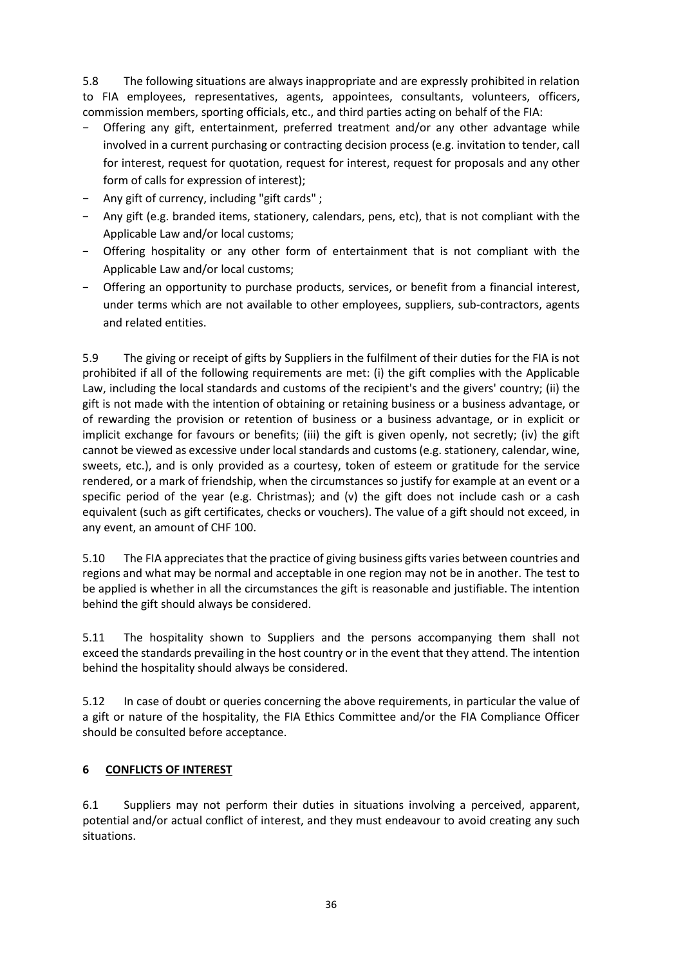5.8 The following situations are always inappropriate and are expressly prohibited in relation to FIA employees, representatives, agents, appointees, consultants, volunteers, officers, commission members, sporting officials, etc., and third parties acting on behalf of the FIA:

- − Offering any gift, entertainment, preferred treatment and/or any other advantage while involved in a current purchasing or contracting decision process (e.g. invitation to tender, call for interest, request for quotation, request for interest, request for proposals and any other form of calls for expression of interest);
- Any gift of currency, including "gift cards" ;
- Any gift (e.g. branded items, stationery, calendars, pens, etc), that is not compliant with the Applicable Law and/or local customs;
- − Offering hospitality or any other form of entertainment that is not compliant with the Applicable Law and/or local customs;
- − Offering an opportunity to purchase products, services, or benefit from a financial interest, under terms which are not available to other employees, suppliers, sub-contractors, agents and related entities.

5.9 The giving or receipt of gifts by Suppliers in the fulfilment of their duties for the FIA is not prohibited if all of the following requirements are met: (i) the gift complies with the Applicable Law, including the local standards and customs of the recipient's and the givers' country; (ii) the gift is not made with the intention of obtaining or retaining business or a business advantage, or of rewarding the provision or retention of business or a business advantage, or in explicit or implicit exchange for favours or benefits; (iii) the gift is given openly, not secretly; (iv) the gift cannot be viewed as excessive under local standards and customs (e.g. stationery, calendar, wine, sweets, etc.), and is only provided as a courtesy, token of esteem or gratitude for the service rendered, or a mark of friendship, when the circumstances so justify for example at an event or a specific period of the year (e.g. Christmas); and (v) the gift does not include cash or a cash equivalent (such as gift certificates, checks or vouchers). The value of a gift should not exceed, in any event, an amount of CHF 100.

5.10 The FIA appreciates that the practice of giving business gifts varies between countries and regions and what may be normal and acceptable in one region may not be in another. The test to be applied is whether in all the circumstances the gift is reasonable and justifiable. The intention behind the gift should always be considered.

5.11 The hospitality shown to Suppliers and the persons accompanying them shall not exceed the standards prevailing in the host country or in the event that they attend. The intention behind the hospitality should always be considered.

5.12 In case of doubt or queries concerning the above requirements, in particular the value of a gift or nature of the hospitality, the FIA Ethics Committee and/or the FIA Compliance Officer should be consulted before acceptance.

### **6 CONFLICTS OF INTEREST**

6.1 Suppliers may not perform their duties in situations involving a perceived, apparent, potential and/or actual conflict of interest, and they must endeavour to avoid creating any such situations.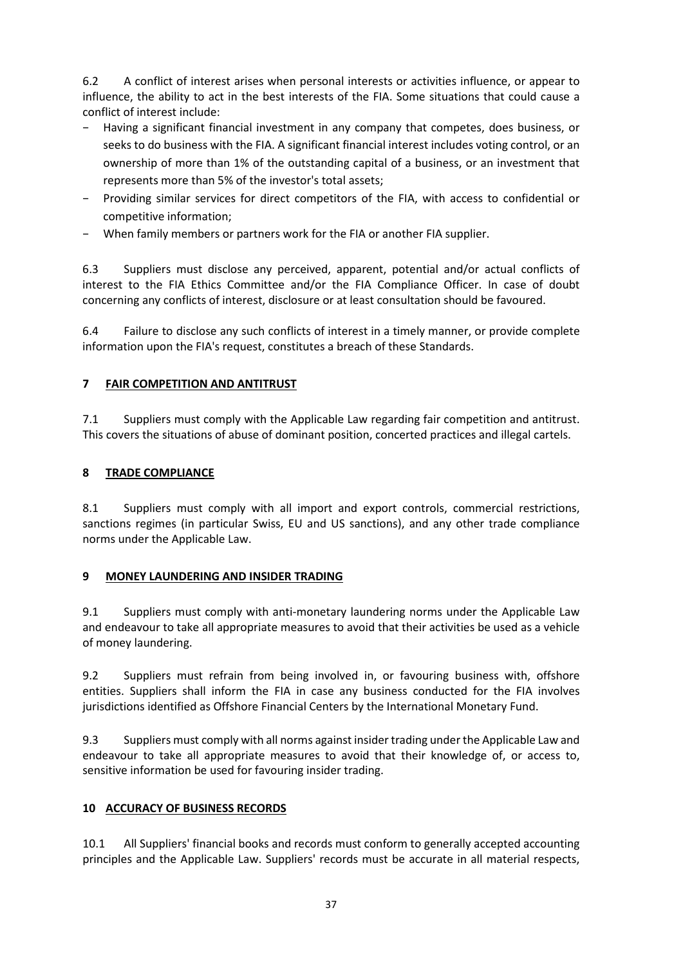6.2 A conflict of interest arises when personal interests or activities influence, or appear to influence, the ability to act in the best interests of the FIA. Some situations that could cause a conflict of interest include:

- − Having a significant financial investment in any company that competes, does business, or seeks to do business with the FIA. A significant financial interest includes voting control, or an ownership of more than 1% of the outstanding capital of a business, or an investment that represents more than 5% of the investor's total assets;
- − Providing similar services for direct competitors of the FIA, with access to confidential or competitive information;
- − When family members or partners work for the FIA or another FIA supplier.

6.3 Suppliers must disclose any perceived, apparent, potential and/or actual conflicts of interest to the FIA Ethics Committee and/or the FIA Compliance Officer. In case of doubt concerning any conflicts of interest, disclosure or at least consultation should be favoured.

6.4 Failure to disclose any such conflicts of interest in a timely manner, or provide complete information upon the FIA's request, constitutes a breach of these Standards.

### **7 FAIR COMPETITION AND ANTITRUST**

7.1 Suppliers must comply with the Applicable Law regarding fair competition and antitrust. This covers the situations of abuse of dominant position, concerted practices and illegal cartels.

### **8 TRADE COMPLIANCE**

8.1 Suppliers must comply with all import and export controls, commercial restrictions, sanctions regimes (in particular Swiss, EU and US sanctions), and any other trade compliance norms under the Applicable Law.

### **9 MONEY LAUNDERING AND INSIDER TRADING**

9.1 Suppliers must comply with anti-monetary laundering norms under the Applicable Law and endeavour to take all appropriate measures to avoid that their activities be used as a vehicle of money laundering.

9.2 Suppliers must refrain from being involved in, or favouring business with, offshore entities. Suppliers shall inform the FIA in case any business conducted for the FIA involves jurisdictions identified as Offshore Financial Centers by the International Monetary Fund.

9.3 Suppliers must comply with all norms against insider trading under the Applicable Law and endeavour to take all appropriate measures to avoid that their knowledge of, or access to, sensitive information be used for favouring insider trading.

### **10 ACCURACY OF BUSINESS RECORDS**

10.1 All Suppliers' financial books and records must conform to generally accepted accounting principles and the Applicable Law. Suppliers' records must be accurate in all material respects,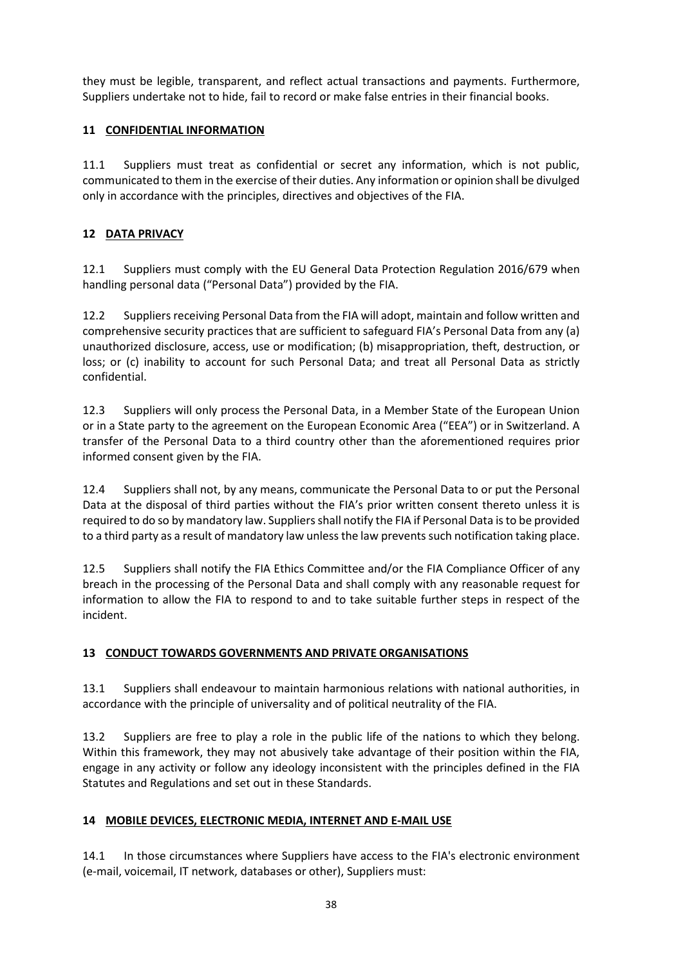they must be legible, transparent, and reflect actual transactions and payments. Furthermore, Suppliers undertake not to hide, fail to record or make false entries in their financial books.

### **11 CONFIDENTIAL INFORMATION**

11.1 Suppliers must treat as confidential or secret any information, which is not public, communicated to them in the exercise of their duties. Any information or opinion shall be divulged only in accordance with the principles, directives and objectives of the FIA.

### **12 DATA PRIVACY**

12.1 Suppliers must comply with the EU General Data Protection Regulation 2016/679 when handling personal data ("Personal Data") provided by the FIA.

12.2 Suppliers receiving Personal Data from the FIA will adopt, maintain and follow written and comprehensive security practices that are sufficient to safeguard FIA's Personal Data from any (a) unauthorized disclosure, access, use or modification; (b) misappropriation, theft, destruction, or loss; or (c) inability to account for such Personal Data; and treat all Personal Data as strictly confidential.

12.3 Suppliers will only process the Personal Data, in a Member State of the European Union or in a State party to the agreement on the European Economic Area ("EEA") or in Switzerland. A transfer of the Personal Data to a third country other than the aforementioned requires prior informed consent given by the FIA.

12.4 Suppliers shall not, by any means, communicate the Personal Data to or put the Personal Data at the disposal of third parties without the FIA's prior written consent thereto unless it is required to do so by mandatory law. Suppliers shall notify the FIA if Personal Data is to be provided to a third party as a result of mandatory law unless the law prevents such notification taking place.

12.5 Suppliers shall notify the FIA Ethics Committee and/or the FIA Compliance Officer of any breach in the processing of the Personal Data and shall comply with any reasonable request for information to allow the FIA to respond to and to take suitable further steps in respect of the incident.

### **13 CONDUCT TOWARDS GOVERNMENTS AND PRIVATE ORGANISATIONS**

13.1 Suppliers shall endeavour to maintain harmonious relations with national authorities, in accordance with the principle of universality and of political neutrality of the FIA.

13.2 Suppliers are free to play a role in the public life of the nations to which they belong. Within this framework, they may not abusively take advantage of their position within the FIA, engage in any activity or follow any ideology inconsistent with the principles defined in the FIA Statutes and Regulations and set out in these Standards.

### **14 MOBILE DEVICES, ELECTRONIC MEDIA, INTERNET AND E-MAIL USE**

14.1 In those circumstances where Suppliers have access to the FIA's electronic environment (e-mail, voicemail, IT network, databases or other), Suppliers must: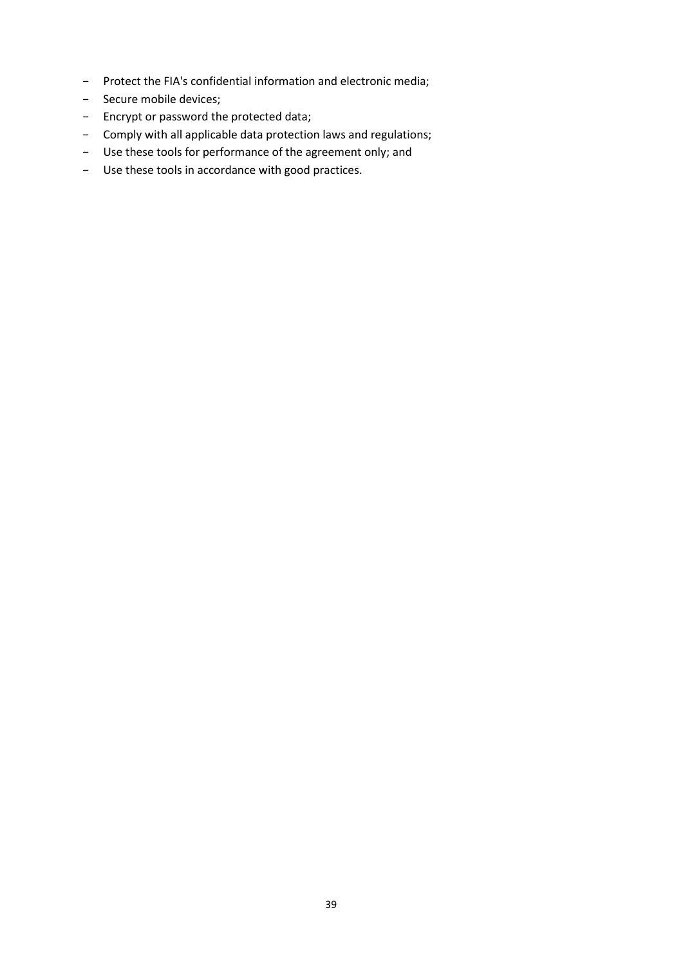- − Protect the FIA's confidential information and electronic media;
- − Secure mobile devices;
- − Encrypt or password the protected data;
- − Comply with all applicable data protection laws and regulations;
- − Use these tools for performance of the agreement only; and
- − Use these tools in accordance with good practices.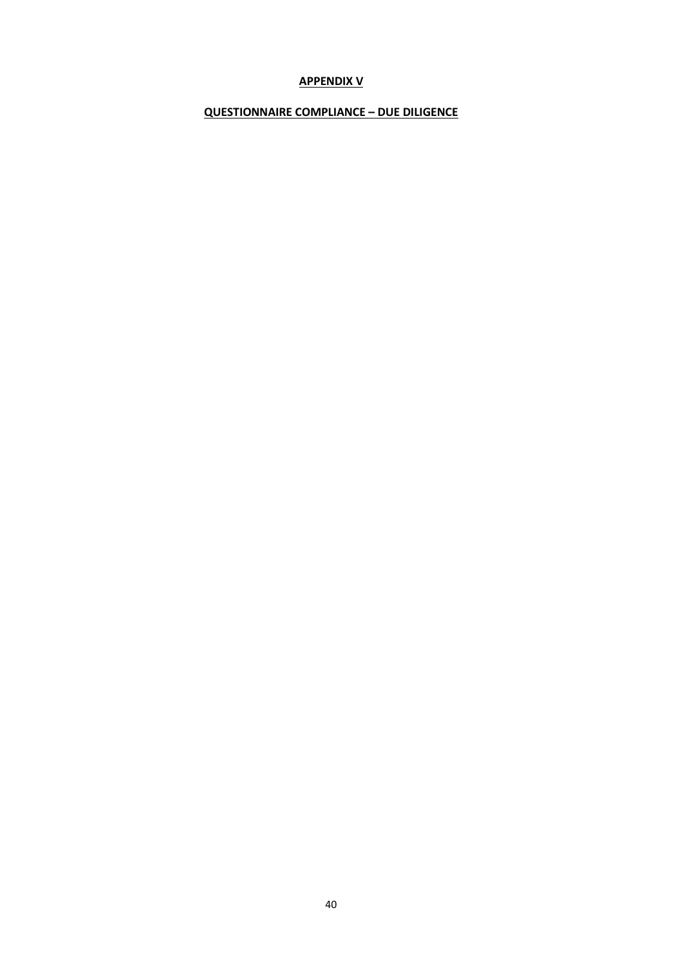### **APPENDIX V**

### **QUESTIONNAIRE COMPLIANCE – DUE DILIGENCE**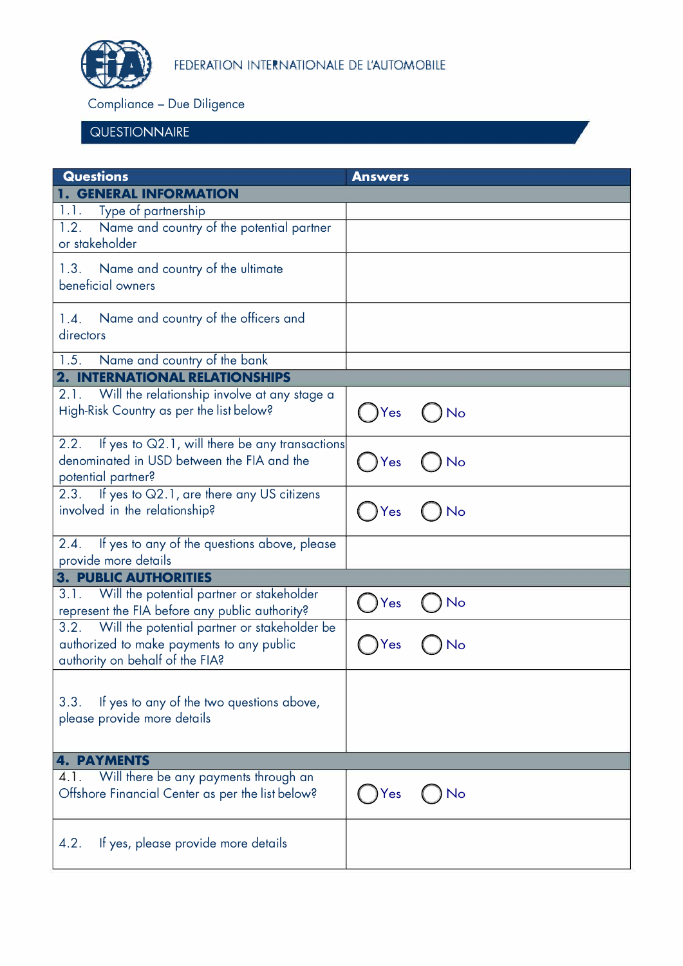

Compliance - Due Diligence

# **QUESTIONNAIRE**

| <b>Questions</b>                                                                                                                  | <b>Answers</b> |
|-----------------------------------------------------------------------------------------------------------------------------------|----------------|
| <b>1. GENERAL INFORMATION</b>                                                                                                     |                |
| Type of partnership<br>1.1.                                                                                                       |                |
| Name and country of the potential partner<br>1.2.<br>or stakeholder                                                               |                |
| 1.3. Name and country of the ultimate<br>beneficial owners                                                                        |                |
| Name and country of the officers and<br>1.4.<br>directors                                                                         |                |
| 1.5.<br>Name and country of the bank                                                                                              |                |
| <b>2. INTERNATIONAL RELATIONSHIPS</b>                                                                                             |                |
| 2.1. Will the relationship involve at any stage a<br>High-Risk Country as per the list below?                                     | No<br>Yes      |
| 2.2. If yes to Q2.1, will there be any transactions<br>denominated in USD between the FIA and the<br>potential partner?           | Yes            |
| 2.3. If yes to Q2.1, are there any US citizens<br>involved in the relationship?                                                   | No<br>Yes      |
| 2.4. If yes to any of the questions above, please                                                                                 |                |
| provide more details                                                                                                              |                |
| <b>3. PUBLIC AUTHORITIES</b>                                                                                                      |                |
| 3.1. Will the potential partner or stakeholder<br>represent the FIA before any public authority?                                  | No<br>Yes      |
| 3.2. Will the potential partner or stakeholder be<br>authorized to make payments to any public<br>authority on behalf of the FIA? |                |
| If yes to any of the two questions above,<br>3.3.<br>please provide more details                                                  |                |
| <b>4. PAYMENTS</b>                                                                                                                |                |
| 4.1. Will there be any payments through an<br>Offshore Financial Center as per the list below?                                    | No<br>Yes      |
| If yes, please provide more details<br>4.2.                                                                                       |                |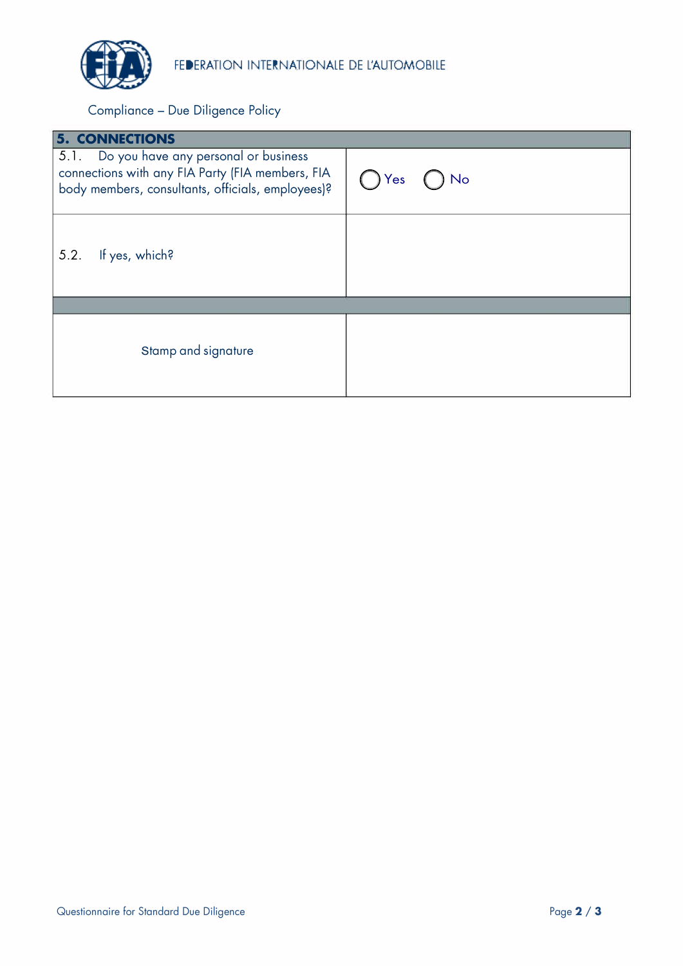

Compliance - Due Diligence Policy

| <b>5. CONNECTIONS</b>                                                                                                                              |           |
|----------------------------------------------------------------------------------------------------------------------------------------------------|-----------|
| 5.1. Do you have any personal or business<br>connections with any FIA Party (FIA members, FIA<br>body members, consultants, officials, employees)? | No<br>Yes |
| If yes, which?<br>5.2.                                                                                                                             |           |
|                                                                                                                                                    |           |
| Stamp and signature                                                                                                                                |           |